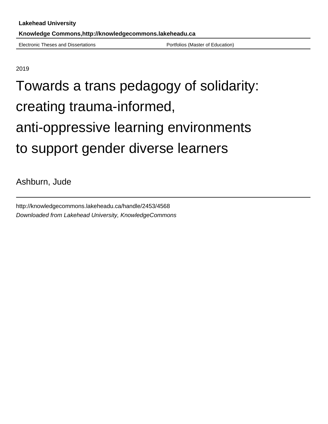Electronic Theses and Dissertations **Portfolios** (Master of Education)

2019

# Towards a trans pedagogy of solidarity: creating trauma-informed, anti-oppressive learning environments to support gender diverse learners

Ashburn, Jude

http://knowledgecommons.lakeheadu.ca/handle/2453/4568 Downloaded from Lakehead University, KnowledgeCommons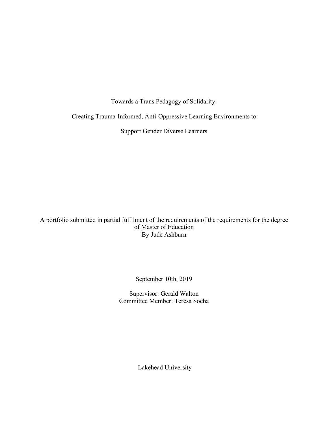Towards a Trans Pedagogy of Solidarity:

Creating Trauma-Informed, Anti-Oppressive Learning Environments to

Support Gender Diverse Learners

A portfolio submitted in partial fulfilment of the requirements of the requirements for the degree of Master of Education By Jude Ashburn

September 10th, 2019

Supervisor: Gerald Walton Committee Member: Teresa Socha

Lakehead University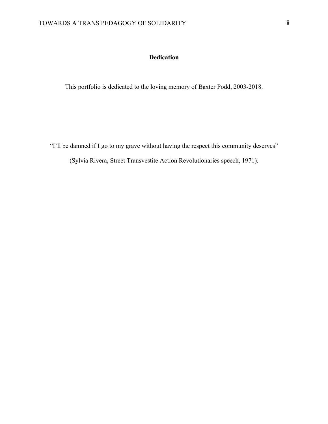## **Dedication**

This portfolio is dedicated to the loving memory of Baxter Podd, 2003-2018.

"I'll be damned if I go to my grave without having the respect this community deserves"

(Sylvia Rivera, Street Transvestite Action Revolutionaries speech, 1971).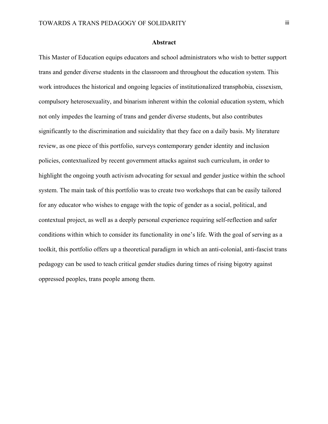#### **Abstract**

This Master of Education equips educators and school administrators who wish to better support trans and gender diverse students in the classroom and throughout the education system. This work introduces the historical and ongoing legacies of institutionalized transphobia, cissexism, compulsory heterosexuality, and binarism inherent within the colonial education system, which not only impedes the learning of trans and gender diverse students, but also contributes significantly to the discrimination and suicidality that they face on a daily basis. My literature review, as one piece of this portfolio, surveys contemporary gender identity and inclusion policies, contextualized by recent government attacks against such curriculum, in order to highlight the ongoing youth activism advocating for sexual and gender justice within the school system. The main task of this portfolio was to create two workshops that can be easily tailored for any educator who wishes to engage with the topic of gender as a social, political, and contextual project, as well as a deeply personal experience requiring self-reflection and safer conditions within which to consider its functionality in one's life. With the goal of serving as a toolkit, this portfolio offers up a theoretical paradigm in which an anti-colonial, anti-fascist trans pedagogy can be used to teach critical gender studies during times of rising bigotry against oppressed peoples, trans people among them.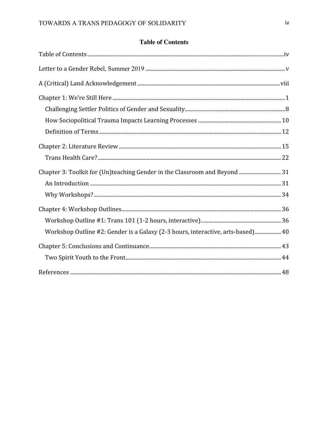### **Table of Contents**

| Chapter 3: Toolkit for (Un)teaching Gender in the Classroom and Beyond  31      |  |
|---------------------------------------------------------------------------------|--|
|                                                                                 |  |
|                                                                                 |  |
|                                                                                 |  |
|                                                                                 |  |
| Workshop Outline #2: Gender is a Galaxy (2-3 hours, interactive, arts-based) 40 |  |
|                                                                                 |  |
|                                                                                 |  |
|                                                                                 |  |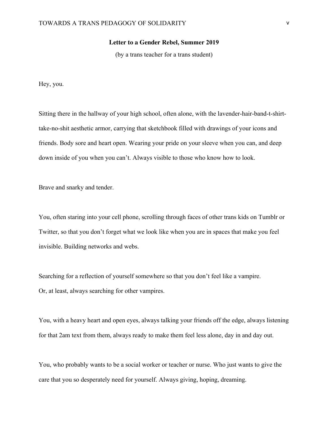#### **Letter to a Gender Rebel, Summer 2019**

(by a trans teacher for a trans student)

Hey, you.

Sitting there in the hallway of your high school, often alone, with the lavender-hair-band-t-shirttake-no-shit aesthetic armor, carrying that sketchbook filled with drawings of your icons and friends. Body sore and heart open. Wearing your pride on your sleeve when you can, and deep down inside of you when you can't. Always visible to those who know how to look.

Brave and snarky and tender.

You, often staring into your cell phone, scrolling through faces of other trans kids on Tumblr or Twitter, so that you don't forget what we look like when you are in spaces that make you feel invisible. Building networks and webs.

Searching for a reflection of yourself somewhere so that you don't feel like a vampire. Or, at least, always searching for other vampires.

You, with a heavy heart and open eyes, always talking your friends off the edge, always listening for that 2am text from them, always ready to make them feel less alone, day in and day out.

You, who probably wants to be a social worker or teacher or nurse. Who just wants to give the care that you so desperately need for yourself. Always giving, hoping, dreaming.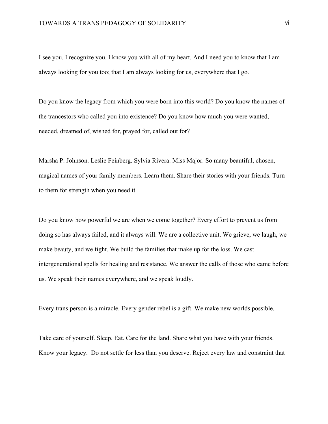I see you. I recognize you. I know you with all of my heart. And I need you to know that I am always looking for you too; that I am always looking for us, everywhere that I go.

Do you know the legacy from which you were born into this world? Do you know the names of the trancestors who called you into existence? Do you know how much you were wanted, needed, dreamed of, wished for, prayed for, called out for?

Marsha P. Johnson. Leslie Feinberg. Sylvia Rivera. Miss Major. So many beautiful, chosen, magical names of your family members. Learn them. Share their stories with your friends. Turn to them for strength when you need it.

Do you know how powerful we are when we come together? Every effort to prevent us from doing so has always failed, and it always will. We are a collective unit. We grieve, we laugh, we make beauty, and we fight. We build the families that make up for the loss. We cast intergenerational spells for healing and resistance. We answer the calls of those who came before us. We speak their names everywhere, and we speak loudly.

Every trans person is a miracle. Every gender rebel is a gift. We make new worlds possible.

Take care of yourself. Sleep. Eat. Care for the land. Share what you have with your friends. Know your legacy. Do not settle for less than you deserve. Reject every law and constraint that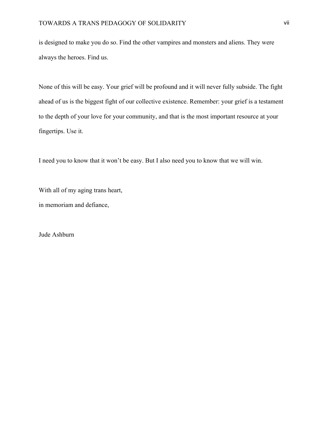is designed to make you do so. Find the other vampires and monsters and aliens. They were always the heroes. Find us.

None of this will be easy. Your grief will be profound and it will never fully subside. The fight ahead of us is the biggest fight of our collective existence. Remember: your grief is a testament to the depth of your love for your community, and that is the most important resource at your fingertips. Use it.

I need you to know that it won't be easy. But I also need you to know that we will win.

With all of my aging trans heart,

in memoriam and defiance,

Jude Ashburn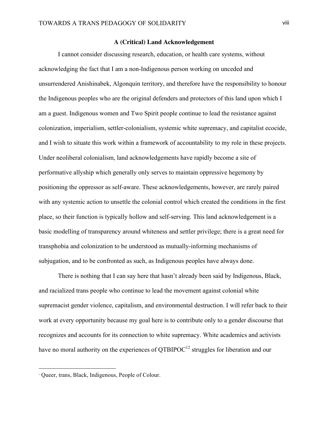#### **A (Critical) Land Acknowledgement**

I cannot consider discussing research, education, or health care systems, without acknowledging the fact that I am a non-Indigenous person working on unceded and unsurrendered Anishinabek, Algonquin territory, and therefore have the responsibility to honour the Indigenous peoples who are the original defenders and protectors of this land upon which I am a guest. Indigenous women and Two Spirit people continue to lead the resistance against colonization, imperialism, settler-colonialism, systemic white supremacy, and capitalist ecocide, and I wish to situate this work within a framework of accountability to my role in these projects. Under neoliberal colonialism, land acknowledgements have rapidly become a site of performative allyship which generally only serves to maintain oppressive hegemony by positioning the oppressor as self-aware. These acknowledgements, however, are rarely paired with any systemic action to unsettle the colonial control which created the conditions in the first place, so their function is typically hollow and self-serving. This land acknowledgement is a basic modelling of transparency around whiteness and settler privilege; there is a great need for transphobia and colonization to be understood as mutually-informing mechanisms of subjugation, and to be confronted as such, as Indigenous peoples have always done.

 There is nothing that I can say here that hasn't already been said by Indigenous, Black, and racialized trans people who continue to lead the movement against colonial white supremacist gender violence, capitalism, and environmental destruction. I will refer back to their work at every opportunity because my goal here is to contribute only to a gender discourse that recognizes and accounts for its connection to white supremacy. White academics and activists have no moral authority on the experiences of  $\text{OTBIPOC}^{12}$  struggles for liberation and our

1

<sup>1</sup> Queer, trans, Black, Indigenous, People of Colour.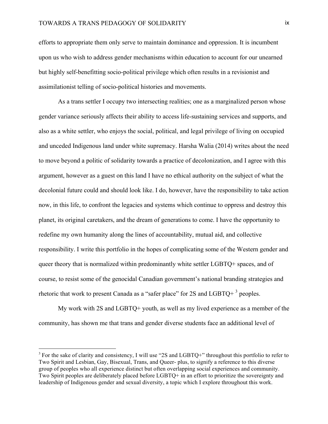efforts to appropriate them only serve to maintain dominance and oppression. It is incumbent upon us who wish to address gender mechanisms within education to account for our unearned but highly self-benefitting socio-political privilege which often results in a revisionist and assimilationist telling of socio-political histories and movements.

 As a trans settler I occupy two intersecting realities; one as a marginalized person whose gender variance seriously affects their ability to access life-sustaining services and supports, and also as a white settler, who enjoys the social, political, and legal privilege of living on occupied and unceded Indigenous land under white supremacy. Harsha Walia (2014) writes about the need to move beyond a politic of solidarity towards a practice of decolonization, and I agree with this argument, however as a guest on this land I have no ethical authority on the subject of what the decolonial future could and should look like. I do, however, have the responsibility to take action now, in this life, to confront the legacies and systems which continue to oppress and destroy this planet, its original caretakers, and the dream of generations to come. I have the opportunity to redefine my own humanity along the lines of accountability, mutual aid, and collective responsibility. I write this portfolio in the hopes of complicating some of the Western gender and queer theory that is normalized within predominantly white settler LGBTQ+ spaces, and of course, to resist some of the genocidal Canadian government's national branding strategies and rhetoric that work to present Canada as a "safer place" for  $2S$  and  $LGBTQ+3$  peoples.

My work with 2S and LGBTQ+ youth, as well as my lived experience as a member of the community, has shown me that trans and gender diverse students face an additional level of

1

<sup>&</sup>lt;sup>3</sup> For the sake of clarity and consistency, I will use "2S and LGBTQ+" throughout this portfolio to refer to Two Spirit and Lesbian, Gay, Bisexual, Trans, and Queer- plus, to signify a reference to this diverse group of peoples who all experience distinct but often overlapping social experiences and community. Two Spirit peoples are deliberately placed before LGBTQ+ in an effort to prioritize the sovereignty and leadership of Indigenous gender and sexual diversity, a topic which I explore throughout this work.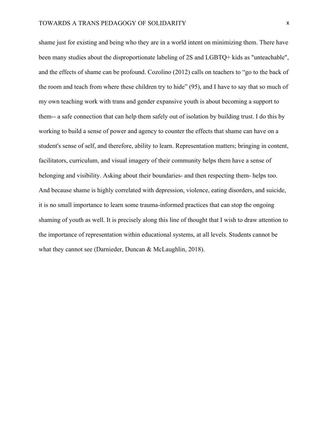shame just for existing and being who they are in a world intent on minimizing them. There have been many studies about the disproportionate labeling of 2S and LGBTQ+ kids as "unteachable", and the effects of shame can be profound. Cozolino (2012) calls on teachers to "go to the back of the room and teach from where these children try to hide" (95), and I have to say that so much of my own teaching work with trans and gender expansive youth is about becoming a support to them-- a safe connection that can help them safely out of isolation by building trust. I do this by working to build a sense of power and agency to counter the effects that shame can have on a student's sense of self, and therefore, ability to learn. Representation matters; bringing in content, facilitators, curriculum, and visual imagery of their community helps them have a sense of belonging and visibility. Asking about their boundaries- and then respecting them- helps too. And because shame is highly correlated with depression, violence, eating disorders, and suicide, it is no small importance to learn some trauma-informed practices that can stop the ongoing shaming of youth as well. It is precisely along this line of thought that I wish to draw attention to the importance of representation within educational systems, at all levels. Students cannot be what they cannot see (Darnieder, Duncan & McLaughlin, 2018).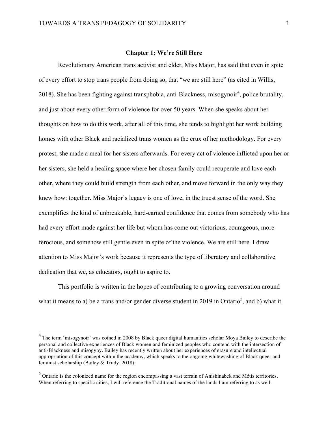#### **Chapter 1: We're Still Here**

Revolutionary American trans activist and elder, Miss Major, has said that even in spite of every effort to stop trans people from doing so, that "we are still here" (as cited in Willis, 2018). She has been fighting against transphobia, anti-Blackness, misogynoir<sup>4</sup>, police brutality, and just about every other form of violence for over 50 years. When she speaks about her thoughts on how to do this work, after all of this time, she tends to highlight her work building homes with other Black and racialized trans women as the crux of her methodology. For every protest, she made a meal for her sisters afterwards. For every act of violence inflicted upon her or her sisters, she held a healing space where her chosen family could recuperate and love each other, where they could build strength from each other, and move forward in the only way they knew how: together. Miss Major's legacy is one of love, in the truest sense of the word. She exemplifies the kind of unbreakable, hard-earned confidence that comes from somebody who has had every effort made against her life but whom has come out victorious, courageous, more ferocious, and somehow still gentle even in spite of the violence. We are still here. I draw attention to Miss Major's work because it represents the type of liberatory and collaborative dedication that we, as educators, ought to aspire to.

This portfolio is written in the hopes of contributing to a growing conversation around what it means to a) be a trans and/or gender diverse student in 2019 in Ontario<sup>5</sup>, and b) what it

<u>.</u>

 $4$  The term 'misogynoir' was coined in 2008 by Black queer digital humanities scholar Moya Bailey to describe the personal and collective experiences of Black women and feminized peoples who contend with the intersection of anti-Blackness and misogyny. Bailey has recently written about her experiences of erasure and intellectual appropriation of this concept within the academy, which speaks to the ongoing whitewashing of Black queer and feminist scholarship (Bailey & Trudy, 2018).

 $<sup>5</sup>$  Ontario is the colonized name for the region encompassing a vast terrain of Anishinabek and Métis territories.</sup> When referring to specific cities, I will reference the Traditional names of the lands I am referring to as well.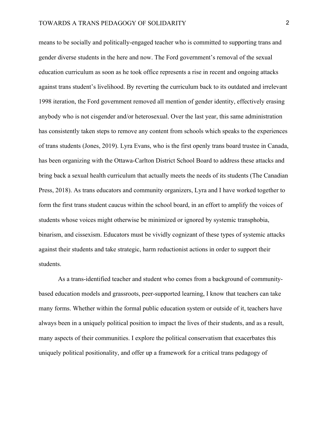means to be socially and politically-engaged teacher who is committed to supporting trans and gender diverse students in the here and now. The Ford government's removal of the sexual education curriculum as soon as he took office represents a rise in recent and ongoing attacks against trans student's livelihood. By reverting the curriculum back to its outdated and irrelevant 1998 iteration, the Ford government removed all mention of gender identity, effectively erasing anybody who is not cisgender and/or heterosexual. Over the last year, this same administration has consistently taken steps to remove any content from schools which speaks to the experiences of trans students (Jones, 2019). Lyra Evans, who is the first openly trans board trustee in Canada, has been organizing with the Ottawa-Carlton District School Board to address these attacks and bring back a sexual health curriculum that actually meets the needs of its students (The Canadian Press, 2018). As trans educators and community organizers, Lyra and I have worked together to form the first trans student caucus within the school board, in an effort to amplify the voices of students whose voices might otherwise be minimized or ignored by systemic transphobia, binarism, and cissexism. Educators must be vividly cognizant of these types of systemic attacks against their students and take strategic, harm reductionist actions in order to support their students.

As a trans-identified teacher and student who comes from a background of communitybased education models and grassroots, peer-supported learning, I know that teachers can take many forms. Whether within the formal public education system or outside of it, teachers have always been in a uniquely political position to impact the lives of their students, and as a result, many aspects of their communities. I explore the political conservatism that exacerbates this uniquely political positionality, and offer up a framework for a critical trans pedagogy of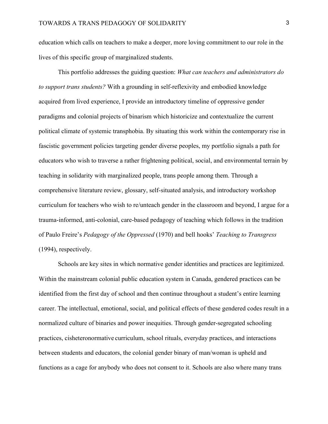education which calls on teachers to make a deeper, more loving commitment to our role in the lives of this specific group of marginalized students.

This portfolio addresses the guiding question: *What can teachers and administrators do to support trans students?* With a grounding in self-reflexivity and embodied knowledge acquired from lived experience, I provide an introductory timeline of oppressive gender paradigms and colonial projects of binarism which historicize and contextualize the current political climate of systemic transphobia. By situating this work within the contemporary rise in fascistic government policies targeting gender diverse peoples, my portfolio signals a path for educators who wish to traverse a rather frightening political, social, and environmental terrain by teaching in solidarity with marginalized people, trans people among them. Through a comprehensive literature review, glossary, self-situated analysis, and introductory workshop curriculum for teachers who wish to re/unteach gender in the classroom and beyond, I argue for a trauma-informed, anti-colonial, care-based pedagogy of teaching which follows in the tradition of Paulo Freire's *Pedagogy of the Oppressed* (1970) and bell hooks' *Teaching to Transgress* (1994), respectively.

Schools are key sites in which normative gender identities and practices are legitimized. Within the mainstream colonial public education system in Canada, gendered practices can be identified from the first day of school and then continue throughout a student's entire learning career. The intellectual, emotional, social, and political effects of these gendered codes result in a normalized culture of binaries and power inequities. Through gender-segregated schooling practices, cisheteronormative curriculum, school rituals, everyday practices, and interactions between students and educators, the colonial gender binary of man/woman is upheld and functions as a cage for anybody who does not consent to it. Schools are also where many trans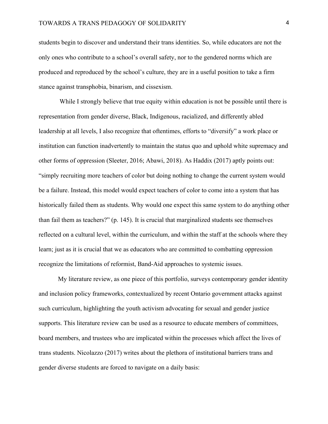students begin to discover and understand their trans identities. So, while educators are not the only ones who contribute to a school's overall safety, nor to the gendered norms which are produced and reproduced by the school's culture, they are in a useful position to take a firm stance against transphobia, binarism, and cissexism.

While I strongly believe that true equity within education is not be possible until there is representation from gender diverse, Black, Indigenous, racialized, and differently abled leadership at all levels, I also recognize that oftentimes, efforts to "diversify" a work place or institution can function inadvertently to maintain the status quo and uphold white supremacy and other forms of oppression (Sleeter, 2016; Abawi, 2018). As Haddix (2017) aptly points out: "simply recruiting more teachers of color but doing nothing to change the current system would be a failure. Instead, this model would expect teachers of color to come into a system that has historically failed them as students. Why would one expect this same system to do anything other than fail them as teachers?" (p. 145). It is crucial that marginalized students see themselves reflected on a cultural level, within the curriculum, and within the staff at the schools where they learn; just as it is crucial that we as educators who are committed to combatting oppression recognize the limitations of reformist, Band-Aid approaches to systemic issues.

My literature review, as one piece of this portfolio, surveys contemporary gender identity and inclusion policy frameworks, contextualized by recent Ontario government attacks against such curriculum, highlighting the youth activism advocating for sexual and gender justice supports. This literature review can be used as a resource to educate members of committees, board members, and trustees who are implicated within the processes which affect the lives of trans students. Nicolazzo (2017) writes about the plethora of institutional barriers trans and gender diverse students are forced to navigate on a daily basis: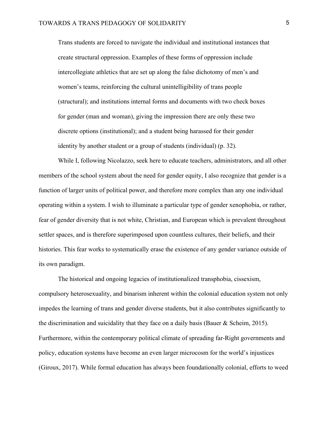Trans students are forced to navigate the individual and institutional instances that create structural oppression. Examples of these forms of oppression include intercollegiate athletics that are set up along the false dichotomy of men's and women's teams, reinforcing the cultural unintelligibility of trans people (structural); and institutions internal forms and documents with two check boxes for gender (man and woman), giving the impression there are only these two discrete options (institutional); and a student being harassed for their gender identity by another student or a group of students (individual) (p. 32).

While I, following Nicolazzo, seek here to educate teachers, administrators, and all other members of the school system about the need for gender equity, I also recognize that gender is a function of larger units of political power, and therefore more complex than any one individual operating within a system. I wish to illuminate a particular type of gender xenophobia, or rather, fear of gender diversity that is not white, Christian, and European which is prevalent throughout settler spaces, and is therefore superimposed upon countless cultures, their beliefs, and their histories. This fear works to systematically erase the existence of any gender variance outside of its own paradigm.

The historical and ongoing legacies of institutionalized transphobia, cissexism, compulsory heterosexuality, and binarism inherent within the colonial education system not only impedes the learning of trans and gender diverse students, but it also contributes significantly to the discrimination and suicidality that they face on a daily basis (Bauer  $\&$  Scheim, 2015). Furthermore, within the contemporary political climate of spreading far-Right governments and policy, education systems have become an even larger microcosm for the world's injustices (Giroux, 2017). While formal education has always been foundationally colonial, efforts to weed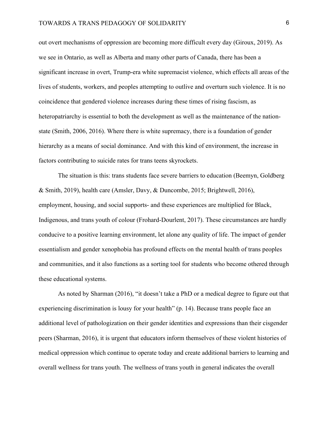out overt mechanisms of oppression are becoming more difficult every day (Giroux, 2019). As we see in Ontario, as well as Alberta and many other parts of Canada, there has been a significant increase in overt, Trump-era white supremacist violence, which effects all areas of the lives of students, workers, and peoples attempting to outlive and overturn such violence. It is no coincidence that gendered violence increases during these times of rising fascism, as heteropatriarchy is essential to both the development as well as the maintenance of the nationstate (Smith, 2006, 2016). Where there is white supremacy, there is a foundation of gender hierarchy as a means of social dominance. And with this kind of environment, the increase in factors contributing to suicide rates for trans teens skyrockets.

 The situation is this: trans students face severe barriers to education (Beemyn, Goldberg & Smith, 2019), health care (Amsler, Davy, & Duncombe, 2015; Brightwell, 2016), employment, housing, and social supports- and these experiences are multiplied for Black, Indigenous, and trans youth of colour (Frohard-Dourlent, 2017). These circumstances are hardly conducive to a positive learning environment, let alone any quality of life. The impact of gender essentialism and gender xenophobia has profound effects on the mental health of trans peoples and communities, and it also functions as a sorting tool for students who become othered through these educational systems.

As noted by Sharman (2016), "it doesn't take a PhD or a medical degree to figure out that experiencing discrimination is lousy for your health" (p. 14). Because trans people face an additional level of pathologization on their gender identities and expressions than their cisgender peers (Sharman, 2016), it is urgent that educators inform themselves of these violent histories of medical oppression which continue to operate today and create additional barriers to learning and overall wellness for trans youth. The wellness of trans youth in general indicates the overall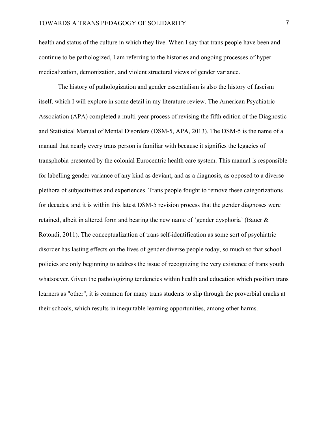health and status of the culture in which they live. When I say that trans people have been and continue to be pathologized, I am referring to the histories and ongoing processes of hypermedicalization, demonization, and violent structural views of gender variance.

The history of pathologization and gender essentialism is also the history of fascism itself, which I will explore in some detail in my literature review. The American Psychiatric Association (APA) completed a multi-year process of revising the fifth edition of the Diagnostic and Statistical Manual of Mental Disorders (DSM-5, APA, 2013). The DSM-5 is the name of a manual that nearly every trans person is familiar with because it signifies the legacies of transphobia presented by the colonial Eurocentric health care system. This manual is responsible for labelling gender variance of any kind as deviant, and as a diagnosis, as opposed to a diverse plethora of subjectivities and experiences. Trans people fought to remove these categorizations for decades, and it is within this latest DSM-5 revision process that the gender diagnoses were retained, albeit in altered form and bearing the new name of 'gender dysphoria' (Bauer & Rotondi, 2011). The conceptualization of trans self-identification as some sort of psychiatric disorder has lasting effects on the lives of gender diverse people today, so much so that school policies are only beginning to address the issue of recognizing the very existence of trans youth whatsoever. Given the pathologizing tendencies within health and education which position trans learners as "other", it is common for many trans students to slip through the proverbial cracks at their schools, which results in inequitable learning opportunities, among other harms.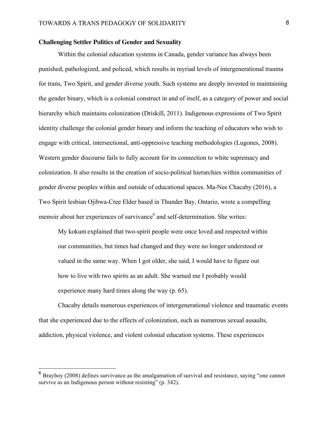#### **Challenging Settler Politics of Gender and Sexuality**

Within the colonial education systems in Canada, gender variance has always been punished, pathologized, and policed, which results in myriad levels of intergenerational trauma for trans, Two Spirit, and gender diverse youth. Such systems are deeply invested in maintaining the gender binary, which is a colonial construct in and of itself, as a category of power and social hierarchy which maintains colonization (Driskill, 2011). Indigenous expressions of Two Spirit identity challenge the colonial gender binary and inform the teaching of educators who wish to engage with critical, intersectional, anti-oppressive teaching methodologies (Lugones, 2008). Western gender discourse fails to fully account for its connection to white supremacy and colonization. It also results in the creation of socio-political hierarchies within communities of gender diverse peoples within and outside of educational spaces. Ma-Nee Chacaby (2016), a Two Spirit lesbian Ojibwa-Cree Elder based in Thunder Bay, Ontario, wrote a compelling memoir about her experiences of survivance<sup>6</sup> and self-determination. She writes:

My kokum explained that two-spirit people were once loved and respected within our communities, but times had changed and they were no longer understood or valued in the same way. When I got older, she said, I would have to figure out how to live with two spirits as an adult. She warned me I probably would experience many hard times along the way (p. 65).

Chacaby details numerous experiences of intergenerational violence and traumatic events that she experienced due to the effects of colonization, such as numerous sexual assaults, addiction, physical violence, and violent colonial education systems. These experiences

1

 $6$  Brayboy (2008) defines survivance as the amalgamation of survival and resistance, saying "one cannot" survive as an Indigenous person without resisting" (p. 342).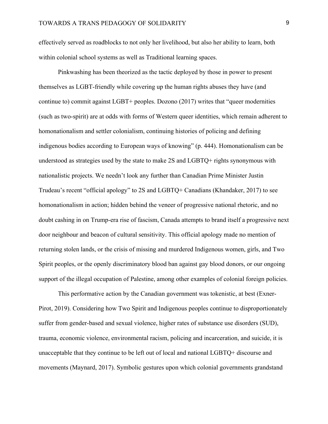effectively served as roadblocks to not only her livelihood, but also her ability to learn, both within colonial school systems as well as Traditional learning spaces.

Pinkwashing has been theorized as the tactic deployed by those in power to present themselves as LGBT-friendly while covering up the human rights abuses they have (and continue to) commit against LGBT+ peoples. Dozono (2017) writes that "queer modernities (such as two-spirit) are at odds with forms of Western queer identities, which remain adherent to homonationalism and settler colonialism, continuing histories of policing and defining indigenous bodies according to European ways of knowing" (p. 444). Homonationalism can be understood as strategies used by the state to make 2S and LGBTQ+ rights synonymous with nationalistic projects. We needn't look any further than Canadian Prime Minister Justin Trudeau's recent "official apology" to 2S and LGBTQ+ Canadians (Khandaker, 2017) to see homonationalism in action; hidden behind the veneer of progressive national rhetoric, and no doubt cashing in on Trump-era rise of fascism, Canada attempts to brand itself a progressive next door neighbour and beacon of cultural sensitivity. This official apology made no mention of returning stolen lands, or the crisis of missing and murdered Indigenous women, girls, and Two Spirit peoples, or the openly discriminatory blood ban against gay blood donors, or our ongoing support of the illegal occupation of Palestine, among other examples of colonial foreign policies.

This performative action by the Canadian government was tokenistic, at best (Exner-Pirot, 2019). Considering how Two Spirit and Indigenous peoples continue to disproportionately suffer from gender-based and sexual violence, higher rates of substance use disorders (SUD), trauma, economic violence, environmental racism, policing and incarceration, and suicide, it is unacceptable that they continue to be left out of local and national LGBTQ+ discourse and movements (Maynard, 2017). Symbolic gestures upon which colonial governments grandstand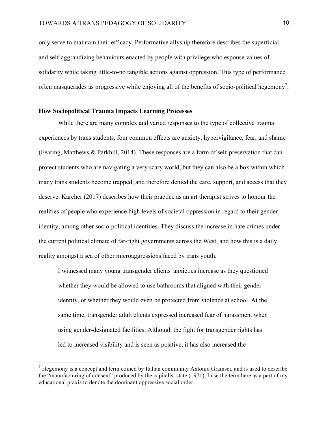only serve to maintain their efficacy. Performative allyship therefore describes the superficial and self-aggrandizing behaviours enacted by people with privilege who espouse values of solidarity while taking little-to-no tangible actions against oppression. This type of performance often masquerades as progressive while enjoying all of the benefits of socio-political hegemony<sup>7</sup>.

#### **How Sociopolitical Trauma Impacts Learning Processes**

<u>.</u>

While there are many complex and varied responses to the type of collective trauma experiences by trans students, four common effects are anxiety, hypervigilance, fear, and shame (Fearing, Matthews & Parkhill, 2014). These responses are a form of self-preservation that can protect students who are navigating a very scary world, but they can also be a box within which many trans students become trapped, and therefore denied the care, support, and access that they deserve. Karcher (2017) describes how their practice as an art therapist strives to honour the realities of people who experience high levels of societal oppression in regard to their gender identity, among other socio-political identities. They discuss the increase in hate crimes under the current political climate of far-right governments across the West, and how this is a daily reality amongst a sea of other microaggressions faced by trans youth.

I witnessed many young transgender clients' anxieties increase as they questioned whether they would be allowed to use bathrooms that aligned with their gender identity, or whether they would even be protected from violence at school. At the same time, transgender adult clients expressed increased fear of harassment when using gender-designated facilities. Although the fight for transgender rights has led to increased visibility and is seen as positive, it has also increased the

 $<sup>7</sup>$  Hegemony is a concept and term coined by Italian community Antonio Gramsci, and is used to describe</sup> the "manufacturing of consent" produced by the capitalist state (1971). I use the term here as a part of my educational praxis to denote the dominant oppressive social order.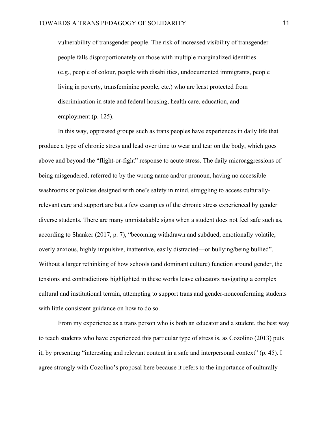vulnerability of transgender people. The risk of increased visibility of transgender people falls disproportionately on those with multiple marginalized identities (e.g., people of colour, people with disabilities, undocumented immigrants, people living in poverty, transfeminine people, etc.) who are least protected from discrimination in state and federal housing, health care, education, and employment (p. 125).

In this way, oppressed groups such as trans peoples have experiences in daily life that produce a type of chronic stress and lead over time to wear and tear on the body, which goes above and beyond the "flight-or-fight" response to acute stress. The daily microaggressions of being misgendered, referred to by the wrong name and/or pronoun, having no accessible washrooms or policies designed with one's safety in mind, struggling to access culturallyrelevant care and support are but a few examples of the chronic stress experienced by gender diverse students. There are many unmistakable signs when a student does not feel safe such as, according to Shanker (2017, p. 7), "becoming withdrawn and subdued, emotionally volatile, overly anxious, highly impulsive, inattentive, easily distracted—or bullying/being bullied". Without a larger rethinking of how schools (and dominant culture) function around gender, the tensions and contradictions highlighted in these works leave educators navigating a complex cultural and institutional terrain, attempting to support trans and gender-nonconforming students with little consistent guidance on how to do so.

From my experience as a trans person who is both an educator and a student, the best way to teach students who have experienced this particular type of stress is, as Cozolino (2013) puts it, by presenting "interesting and relevant content in a safe and interpersonal context" (p. 45). I agree strongly with Cozolino's proposal here because it refers to the importance of culturally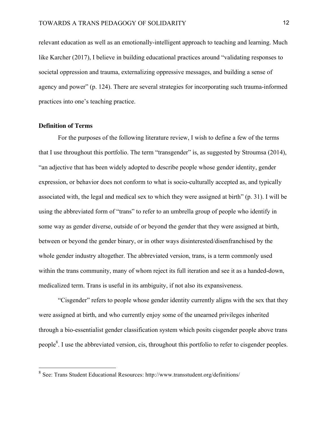relevant education as well as an emotionally-intelligent approach to teaching and learning. Much like Karcher (2017), I believe in building educational practices around "validating responses to societal oppression and trauma, externalizing oppressive messages, and building a sense of agency and power" (p. 124). There are several strategies for incorporating such trauma-informed practices into one's teaching practice.

#### **Definition of Terms**

<u>.</u>

For the purposes of the following literature review, I wish to define a few of the terms that I use throughout this portfolio. The term "transgender" is, as suggested by Stroumsa (2014), "an adjective that has been widely adopted to describe people whose gender identity, gender expression, or behavior does not conform to what is socio-culturally accepted as, and typically associated with, the legal and medical sex to which they were assigned at birth" (p. 31). I will be using the abbreviated form of "trans" to refer to an umbrella group of people who identify in some way as gender diverse, outside of or beyond the gender that they were assigned at birth, between or beyond the gender binary, or in other ways disinterested/disenfranchised by the whole gender industry altogether. The abbreviated version, trans, is a term commonly used within the trans community, many of whom reject its full iteration and see it as a handed-down, medicalized term. Trans is useful in its ambiguity, if not also its expansiveness.

"Cisgender" refers to people whose gender identity currently aligns with the sex that they were assigned at birth, and who currently enjoy some of the unearned privileges inherited through a bio-essentialist gender classification system which posits cisgender people above trans people<sup>8</sup>. I use the abbreviated version, cis, throughout this portfolio to refer to cisgender peoples.

 $8$  See: Trans Student Educational Resources: http://www.transstudent.org/definitions/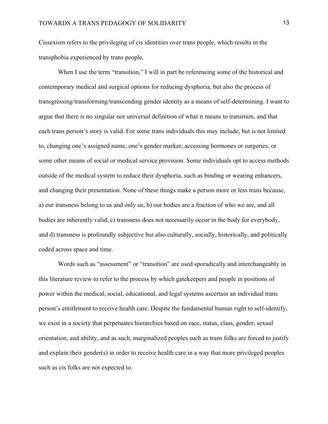Cissexism refers to the privileging of cis identities over trans people, which results in the transphobia experienced by trans people.

When I use the term "transition," I will in part be referencing some of the historical and contemporary medical and surgical options for reducing dysphoria, but also the process of transgressing/transforming/transcending gender identity as a means of self-determining. I want to argue that there is no singular nor universal definition of what it means to transition, and that each trans person's story is valid. For some trans individuals this may include, but is not limited to, changing one's assigned name, one's gender marker, accessing hormones or surgeries, or some other means of social or medical service provision. Some individuals opt to access methods outside of the medical system to reduce their dysphoria, such as binding or wearing enhancers, and changing their presentation. None of these things make a person more or less trans because, a) our transness belong to us and only us, b) our bodies are a fraction of who we are, and all bodies are inherently valid, c) transness does not necessarily occur in the body for everybody, and d) transness is profoundly subjective but also culturally, socially, historically, and politically coded across space and time.

Words such as "assessment" or "transition" are used sporadically and interchangeably in this literature review to refer to the process by which gatekeepers and people in positions of power within the medical, social, educational, and legal systems ascertain an individual trans person's entitlement to receive health care. Despite the fundamental human right to self-identify, we exist in a society that perpetuates hierarchies based on race, status, class, gender, sexual orientation, and ability, and as such, marginalized peoples such as trans folks are forced to justify and explain their gender(s) in order to receive health care in a way that more privileged peoples such as cis folks are not expected to.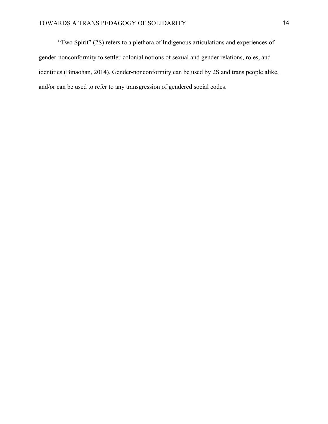"Two Spirit" (2S) refers to a plethora of Indigenous articulations and experiences of gender-nonconformity to settler-colonial notions of sexual and gender relations, roles, and identities (Binaohan, 2014). Gender-nonconformity can be used by 2S and trans people alike, and/or can be used to refer to any transgression of gendered social codes.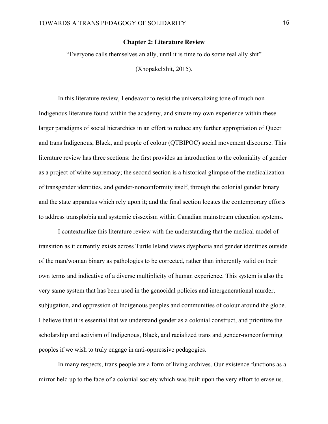#### **Chapter 2: Literature Review**

"Everyone calls themselves an ally, until it is time to do some real ally shit"

(Xhopakelxhit, 2015).

In this literature review, I endeavor to resist the universalizing tone of much non-Indigenous literature found within the academy, and situate my own experience within these larger paradigms of social hierarchies in an effort to reduce any further appropriation of Queer and trans Indigenous, Black, and people of colour (QTBIPOC) social movement discourse. This literature review has three sections: the first provides an introduction to the coloniality of gender as a project of white supremacy; the second section is a historical glimpse of the medicalization of transgender identities, and gender-nonconformity itself, through the colonial gender binary and the state apparatus which rely upon it; and the final section locates the contemporary efforts to address transphobia and systemic cissexism within Canadian mainstream education systems.

I contextualize this literature review with the understanding that the medical model of transition as it currently exists across Turtle Island views dysphoria and gender identities outside of the man/woman binary as pathologies to be corrected, rather than inherently valid on their own terms and indicative of a diverse multiplicity of human experience. This system is also the very same system that has been used in the genocidal policies and intergenerational murder, subjugation, and oppression of Indigenous peoples and communities of colour around the globe. I believe that it is essential that we understand gender as a colonial construct, and prioritize the scholarship and activism of Indigenous, Black, and racialized trans and gender-nonconforming peoples if we wish to truly engage in anti-oppressive pedagogies.

In many respects, trans people are a form of living archives. Our existence functions as a mirror held up to the face of a colonial society which was built upon the very effort to erase us.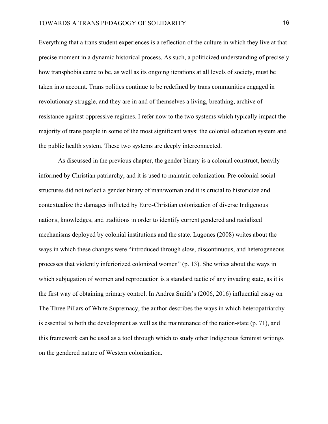Everything that a trans student experiences is a reflection of the culture in which they live at that precise moment in a dynamic historical process. As such, a politicized understanding of precisely how transphobia came to be, as well as its ongoing iterations at all levels of society, must be taken into account. Trans politics continue to be redefined by trans communities engaged in revolutionary struggle, and they are in and of themselves a living, breathing, archive of resistance against oppressive regimes. I refer now to the two systems which typically impact the majority of trans people in some of the most significant ways: the colonial education system and the public health system. These two systems are deeply interconnected.

 As discussed in the previous chapter, the gender binary is a colonial construct, heavily informed by Christian patriarchy, and it is used to maintain colonization. Pre-colonial social structures did not reflect a gender binary of man/woman and it is crucial to historicize and contextualize the damages inflicted by Euro-Christian colonization of diverse Indigenous nations, knowledges, and traditions in order to identify current gendered and racialized mechanisms deployed by colonial institutions and the state. Lugones (2008) writes about the ways in which these changes were "introduced through slow, discontinuous, and heterogeneous processes that violently inferiorized colonized women" (p. 13). She writes about the ways in which subjugation of women and reproduction is a standard tactic of any invading state, as it is the first way of obtaining primary control. In Andrea Smith's (2006, 2016) influential essay on The Three Pillars of White Supremacy, the author describes the ways in which heteropatriarchy is essential to both the development as well as the maintenance of the nation-state (p. 71), and this framework can be used as a tool through which to study other Indigenous feminist writings on the gendered nature of Western colonization.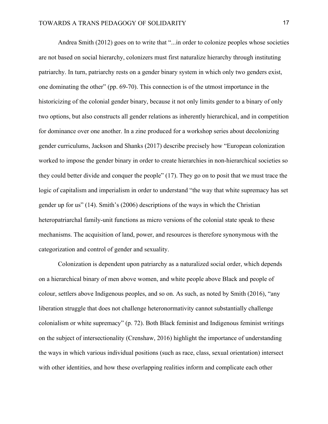Andrea Smith (2012) goes on to write that "...in order to colonize peoples whose societies are not based on social hierarchy, colonizers must first naturalize hierarchy through instituting patriarchy. In turn, patriarchy rests on a gender binary system in which only two genders exist, one dominating the other" (pp. 69-70). This connection is of the utmost importance in the historicizing of the colonial gender binary, because it not only limits gender to a binary of only two options, but also constructs all gender relations as inherently hierarchical, and in competition for dominance over one another. In a zine produced for a workshop series about decolonizing gender curriculums, Jackson and Shanks (2017) describe precisely how "European colonization worked to impose the gender binary in order to create hierarchies in non-hierarchical societies so they could better divide and conquer the people" (17). They go on to posit that we must trace the logic of capitalism and imperialism in order to understand "the way that white supremacy has set gender up for us" (14). Smith's (2006) descriptions of the ways in which the Christian heteropatriarchal family-unit functions as micro versions of the colonial state speak to these mechanisms. The acquisition of land, power, and resources is therefore synonymous with the categorization and control of gender and sexuality.

Colonization is dependent upon patriarchy as a naturalized social order, which depends on a hierarchical binary of men above women, and white people above Black and people of colour, settlers above Indigenous peoples, and so on. As such, as noted by Smith (2016), "any liberation struggle that does not challenge heteronormativity cannot substantially challenge colonialism or white supremacy" (p. 72). Both Black feminist and Indigenous feminist writings on the subject of intersectionality (Crenshaw, 2016) highlight the importance of understanding the ways in which various individual positions (such as race, class, sexual orientation) intersect with other identities, and how these overlapping realities inform and complicate each other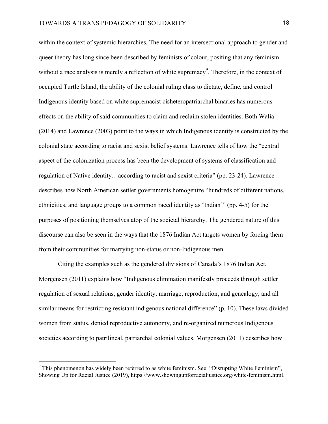within the context of systemic hierarchies. The need for an intersectional approach to gender and queer theory has long since been described by feminists of colour, positing that any feminism without a race analysis is merely a reflection of white supremacy<sup>9</sup>. Therefore, in the context of occupied Turtle Island, the ability of the colonial ruling class to dictate, define, and control Indigenous identity based on white supremacist cisheteropatriarchal binaries has numerous effects on the ability of said communities to claim and reclaim stolen identities. Both Walia (2014) and Lawrence (2003) point to the ways in which Indigenous identity is constructed by the colonial state according to racist and sexist belief systems. Lawrence tells of how the "central aspect of the colonization process has been the development of systems of classification and regulation of Native identity…according to racist and sexist criteria" (pp. 23-24). Lawrence describes how North American settler governments homogenize "hundreds of different nations, ethnicities, and language groups to a common raced identity as 'Indian'" (pp. 4-5) for the purposes of positioning themselves atop of the societal hierarchy. The gendered nature of this discourse can also be seen in the ways that the 1876 Indian Act targets women by forcing them from their communities for marrying non-status or non-Indigenous men.

Citing the examples such as the gendered divisions of Canada's 1876 Indian Act, Morgensen (2011) explains how "Indigenous elimination manifestly proceeds through settler regulation of sexual relations, gender identity, marriage, reproduction, and genealogy, and all similar means for restricting resistant indigenous national difference" (p. 10). These laws divided women from status, denied reproductive autonomy, and re-organized numerous Indigenous societies according to patrilineal, patriarchal colonial values. Morgensen (2011) describes how

1

 $9$  This phenomenon has widely been referred to as white feminism. See: "Disrupting White Feminism", Showing Up for Racial Justice (2019), https://www.showingupforracialjustice.org/white-feminism.html.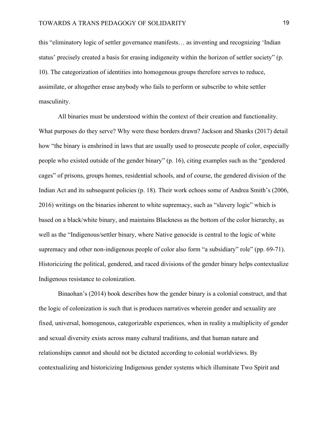this "eliminatory logic of settler governance manifests… as inventing and recognizing 'Indian status' precisely created a basis for erasing indigeneity within the horizon of settler society" (p. 10). The categorization of identities into homogenous groups therefore serves to reduce, assimilate, or altogether erase anybody who fails to perform or subscribe to white settler masculinity.

All binaries must be understood within the context of their creation and functionality. What purposes do they serve? Why were these borders drawn? Jackson and Shanks (2017) detail how "the binary is enshrined in laws that are usually used to prosecute people of color, especially people who existed outside of the gender binary" (p. 16), citing examples such as the "gendered cages" of prisons, groups homes, residential schools, and of course, the gendered division of the Indian Act and its subsequent policies (p. 18). Their work echoes some of Andrea Smith's (2006, 2016) writings on the binaries inherent to white supremacy, such as "slavery logic" which is based on a black/white binary, and maintains Blackness as the bottom of the color hierarchy, as well as the "Indigenous/settler binary, where Native genocide is central to the logic of white supremacy and other non-indigenous people of color also form "a subsidiary" role" (pp. 69-71). Historicizing the political, gendered, and raced divisions of the gender binary helps contextualize Indigenous resistance to colonization.

Binaohan's (2014) book describes how the gender binary is a colonial construct, and that the logic of colonization is such that is produces narratives wherein gender and sexuality are fixed, universal, homogenous, categorizable experiences, when in reality a multiplicity of gender and sexual diversity exists across many cultural traditions, and that human nature and relationships cannot and should not be dictated according to colonial worldviews. By contextualizing and historicizing Indigenous gender systems which illuminate Two Spirit and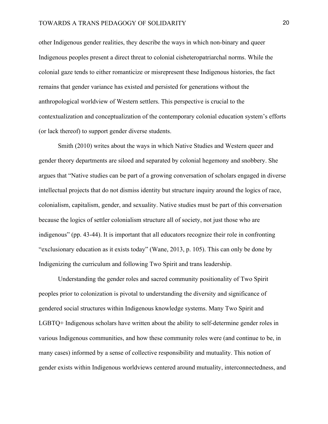other Indigenous gender realities, they describe the ways in which non-binary and queer Indigenous peoples present a direct threat to colonial cisheteropatriarchal norms. While the colonial gaze tends to either romanticize or misrepresent these Indigenous histories, the fact remains that gender variance has existed and persisted for generations without the anthropological worldview of Western settlers. This perspective is crucial to the contextualization and conceptualization of the contemporary colonial education system's efforts (or lack thereof) to support gender diverse students.

Smith (2010) writes about the ways in which Native Studies and Western queer and gender theory departments are siloed and separated by colonial hegemony and snobbery. She argues that "Native studies can be part of a growing conversation of scholars engaged in diverse intellectual projects that do not dismiss identity but structure inquiry around the logics of race, colonialism, capitalism, gender, and sexuality. Native studies must be part of this conversation because the logics of settler colonialism structure all of society, not just those who are indigenous" (pp. 43-44). It is important that all educators recognize their role in confronting "exclusionary education as it exists today" (Wane, 2013, p. 105). This can only be done by Indigenizing the curriculum and following Two Spirit and trans leadership.

Understanding the gender roles and sacred community positionality of Two Spirit peoples prior to colonization is pivotal to understanding the diversity and significance of gendered social structures within Indigenous knowledge systems. Many Two Spirit and LGBTQ+ Indigenous scholars have written about the ability to self-determine gender roles in various Indigenous communities, and how these community roles were (and continue to be, in many cases) informed by a sense of collective responsibility and mutuality. This notion of gender exists within Indigenous worldviews centered around mutuality, interconnectedness, and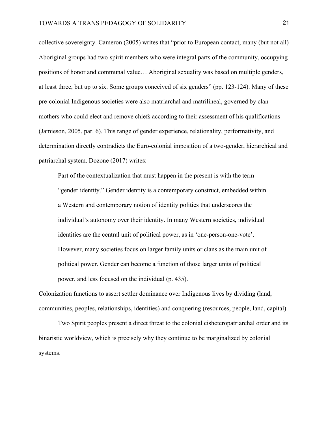collective sovereignty. Cameron (2005) writes that "prior to European contact, many (but not all) Aboriginal groups had two-spirit members who were integral parts of the community, occupying positions of honor and communal value… Aboriginal sexuality was based on multiple genders, at least three, but up to six. Some groups conceived of six genders" (pp. 123-124). Many of these pre-colonial Indigenous societies were also matriarchal and matrilineal, governed by clan mothers who could elect and remove chiefs according to their assessment of his qualifications (Jamieson, 2005, par. 6). This range of gender experience, relationality, performativity, and determination directly contradicts the Euro-colonial imposition of a two-gender, hierarchical and patriarchal system. Dozone (2017) writes:

Part of the contextualization that must happen in the present is with the term "gender identity." Gender identity is a contemporary construct, embedded within a Western and contemporary notion of identity politics that underscores the individual's autonomy over their identity. In many Western societies, individual identities are the central unit of political power, as in 'one-person-one-vote'. However, many societies focus on larger family units or clans as the main unit of political power. Gender can become a function of those larger units of political power, and less focused on the individual (p. 435).

Colonization functions to assert settler dominance over Indigenous lives by dividing (land, communities, peoples, relationships, identities) and conquering (resources, people, land, capital).

Two Spirit peoples present a direct threat to the colonial cisheteropatriarchal order and its binaristic worldview, which is precisely why they continue to be marginalized by colonial systems.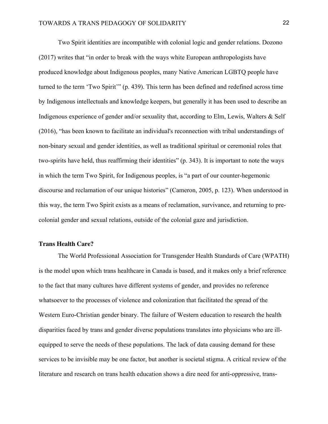Two Spirit identities are incompatible with colonial logic and gender relations. Dozono (2017) writes that "in order to break with the ways white European anthropologists have produced knowledge about Indigenous peoples, many Native American LGBTQ people have turned to the term 'Two Spirit'" (p. 439). This term has been defined and redefined across time by Indigenous intellectuals and knowledge keepers, but generally it has been used to describe an Indigenous experience of gender and/or sexuality that, according to Elm, Lewis, Walters & Self (2016), "has been known to facilitate an individual's reconnection with tribal understandings of non-binary sexual and gender identities, as well as traditional spiritual or ceremonial roles that two-spirits have held, thus reaffirming their identities" (p. 343). It is important to note the ways in which the term Two Spirit, for Indigenous peoples, is "a part of our counter-hegemonic discourse and reclamation of our unique histories" (Cameron, 2005, p. 123). When understood in this way, the term Two Spirit exists as a means of reclamation, survivance, and returning to precolonial gender and sexual relations, outside of the colonial gaze and jurisdiction.

#### **Trans Health Care?**

The World Professional Association for Transgender Health Standards of Care (WPATH) is the model upon which trans healthcare in Canada is based, and it makes only a brief reference to the fact that many cultures have different systems of gender, and provides no reference whatsoever to the processes of violence and colonization that facilitated the spread of the Western Euro-Christian gender binary. The failure of Western education to research the health disparities faced by trans and gender diverse populations translates into physicians who are illequipped to serve the needs of these populations. The lack of data causing demand for these services to be invisible may be one factor, but another is societal stigma. A critical review of the literature and research on trans health education shows a dire need for anti-oppressive, trans-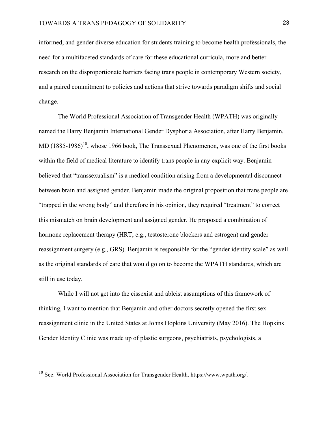informed, and gender diverse education for students training to become health professionals, the need for a multifaceted standards of care for these educational curricula, more and better research on the disproportionate barriers facing trans people in contemporary Western society, and a paired commitment to policies and actions that strive towards paradigm shifts and social change.

The World Professional Association of Transgender Health (WPATH) was originally named the Harry Benjamin International Gender Dysphoria Association, after Harry Benjamin, MD  $(1885-1986)^{10}$ , whose 1966 book, The Transsexual Phenomenon, was one of the first books within the field of medical literature to identify trans people in any explicit way. Benjamin believed that "transsexualism" is a medical condition arising from a developmental disconnect between brain and assigned gender. Benjamin made the original proposition that trans people are "trapped in the wrong body" and therefore in his opinion, they required "treatment" to correct this mismatch on brain development and assigned gender. He proposed a combination of hormone replacement therapy (HRT; e.g., testosterone blockers and estrogen) and gender reassignment surgery (e.g., GRS). Benjamin is responsible for the "gender identity scale" as well as the original standards of care that would go on to become the WPATH standards, which are still in use today.

While I will not get into the cissexist and ableist assumptions of this framework of thinking, I want to mention that Benjamin and other doctors secretly opened the first sex reassignment clinic in the United States at Johns Hopkins University (May 2016). The Hopkins Gender Identity Clinic was made up of plastic surgeons, psychiatrists, psychologists, a

<u>.</u>

<sup>&</sup>lt;sup>10</sup> See: World Professional Association for Transgender Health, https://www.wpath.org/.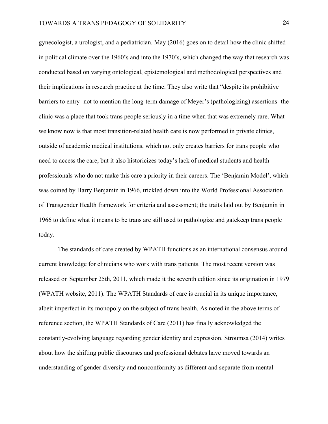gynecologist, a urologist, and a pediatrician. May (2016) goes on to detail how the clinic shifted in political climate over the 1960's and into the 1970's, which changed the way that research was conducted based on varying ontological, epistemological and methodological perspectives and their implications in research practice at the time. They also write that "despite its prohibitive barriers to entry -not to mention the long-term damage of Meyer's (pathologizing) assertions- the clinic was a place that took trans people seriously in a time when that was extremely rare. What we know now is that most transition-related health care is now performed in private clinics, outside of academic medical institutions, which not only creates barriers for trans people who need to access the care, but it also historicizes today's lack of medical students and health professionals who do not make this care a priority in their careers. The 'Benjamin Model', which was coined by Harry Benjamin in 1966, trickled down into the World Professional Association of Transgender Health framework for criteria and assessment; the traits laid out by Benjamin in 1966 to define what it means to be trans are still used to pathologize and gatekeep trans people today.

The standards of care created by WPATH functions as an international consensus around current knowledge for clinicians who work with trans patients. The most recent version was released on September 25th, 2011, which made it the seventh edition since its origination in 1979 (WPATH website, 2011). The WPATH Standards of care is crucial in its unique importance, albeit imperfect in its monopoly on the subject of trans health. As noted in the above terms of reference section, the WPATH Standards of Care (2011) has finally acknowledged the constantly-evolving language regarding gender identity and expression. Stroumsa (2014) writes about how the shifting public discourses and professional debates have moved towards an understanding of gender diversity and nonconformity as different and separate from mental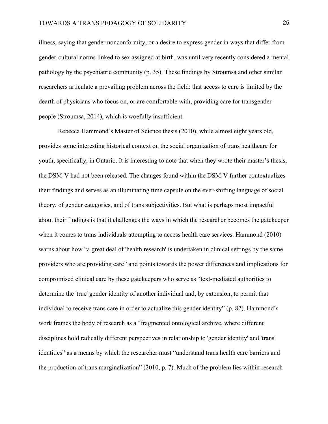illness, saying that gender nonconformity, or a desire to express gender in ways that differ from gender-cultural norms linked to sex assigned at birth, was until very recently considered a mental pathology by the psychiatric community (p. 35). These findings by Stroumsa and other similar researchers articulate a prevailing problem across the field: that access to care is limited by the dearth of physicians who focus on, or are comfortable with, providing care for transgender people (Stroumsa, 2014), which is woefully insufficient.

Rebecca Hammond's Master of Science thesis (2010), while almost eight years old, provides some interesting historical context on the social organization of trans healthcare for youth, specifically, in Ontario. It is interesting to note that when they wrote their master's thesis, the DSM-V had not been released. The changes found within the DSM-V further contextualizes their findings and serves as an illuminating time capsule on the ever-shifting language of social theory, of gender categories, and of trans subjectivities. But what is perhaps most impactful about their findings is that it challenges the ways in which the researcher becomes the gatekeeper when it comes to trans individuals attempting to access health care services. Hammond (2010) warns about how "a great deal of 'health research' is undertaken in clinical settings by the same providers who are providing care" and points towards the power differences and implications for compromised clinical care by these gatekeepers who serve as "text-mediated authorities to determine the 'true' gender identity of another individual and, by extension, to permit that individual to receive trans care in order to actualize this gender identity" (p. 82). Hammond's work frames the body of research as a "fragmented ontological archive, where different disciplines hold radically different perspectives in relationship to 'gender identity' and 'trans' identities" as a means by which the researcher must "understand trans health care barriers and the production of trans marginalization" (2010, p. 7). Much of the problem lies within research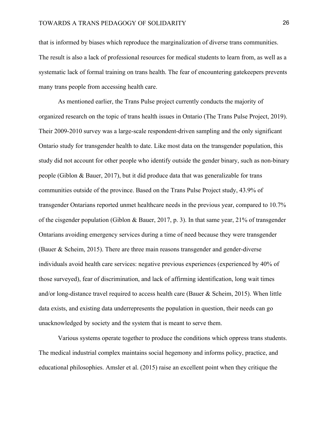that is informed by biases which reproduce the marginalization of diverse trans communities. The result is also a lack of professional resources for medical students to learn from, as well as a systematic lack of formal training on trans health. The fear of encountering gatekeepers prevents many trans people from accessing health care.

As mentioned earlier, the Trans Pulse project currently conducts the majority of organized research on the topic of trans health issues in Ontario (The Trans Pulse Project, 2019). Their 2009-2010 survey was a large-scale respondent-driven sampling and the only significant Ontario study for transgender health to date. Like most data on the transgender population, this study did not account for other people who identify outside the gender binary, such as non-binary people (Giblon & Bauer, 2017), but it did produce data that was generalizable for trans communities outside of the province. Based on the Trans Pulse Project study, 43.9% of transgender Ontarians reported unmet healthcare needs in the previous year, compared to 10.7% of the cisgender population (Giblon & Bauer, 2017, p. 3). In that same year, 21% of transgender Ontarians avoiding emergency services during a time of need because they were transgender (Bauer & Scheim, 2015). There are three main reasons transgender and gender-diverse individuals avoid health care services: negative previous experiences (experienced by 40% of those surveyed), fear of discrimination, and lack of affirming identification, long wait times and/or long-distance travel required to access health care (Bauer & Scheim, 2015). When little data exists, and existing data underrepresents the population in question, their needs can go unacknowledged by society and the system that is meant to serve them.

 Various systems operate together to produce the conditions which oppress trans students. The medical industrial complex maintains social hegemony and informs policy, practice, and educational philosophies. Amsler et al. (2015) raise an excellent point when they critique the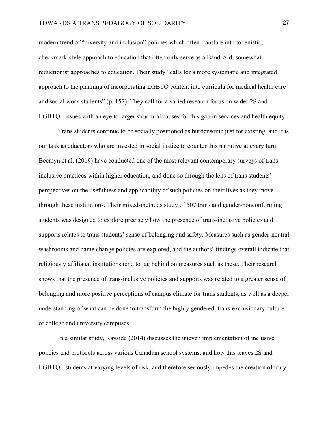modern trend of "diversity and inclusion" policies which often translate into tokenistic, checkmark-style approach to education that often only serve as a Band-Aid, somewhat reductionist approaches to education. Their study "calls for a more systematic and integrated approach to the planning of incorporating LGBTQ content into curricula for medical health care and social work students" (p. 157). They call for a varied research focus on wider 2S and LGBTQ+ issues with an eye to larger structural causes for this gap in services and health equity.

Trans students continue to be socially positioned as burdensome just for existing, and it is our task as educators who are invested in social justice to counter this narrative at every turn. Beemyn et al. (2019) have conducted one of the most relevant contemporary surveys of transinclusive practices within higher education, and done so through the lens of trans students' perspectives on the usefulness and applicability of such policies on their lives as they move through these institutions. Their mixed-methods study of 507 trans and gender-nonconforming students was designed to explore precisely how the presence of trans-inclusive policies and supports relates to trans students' sense of belonging and safety. Measures such as gender-neutral washrooms and name change policies are explored, and the authors' findings overall indicate that religiously affiliated institutions tend to lag behind on measures such as these. Their research shows that the presence of trans-inclusive policies and supports was related to a greater sense of belonging and more positive perceptions of campus climate for trans students, as well as a deeper understanding of what can be done to transform the highly gendered, trans-exclusionary culture of college and university campuses.

In a similar study, Rayside (2014) discusses the uneven implementation of inclusive policies and protocols across various Canadian school systems, and how this leaves 2S and LGBTQ+ students at varying levels of risk, and therefore seriously impedes the creation of truly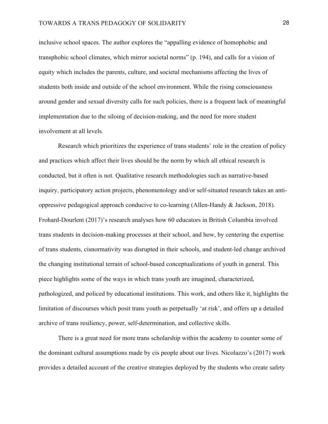inclusive school spaces. The author explores the "appalling evidence of homophobic and transphobic school climates, which mirror societal norms" (p. 194), and calls for a vision of equity which includes the parents, culture, and societal mechanisms affecting the lives of students both inside and outside of the school environment. While the rising consciousness around gender and sexual diversity calls for such policies, there is a frequent lack of meaningful implementation due to the siloing of decision-making, and the need for more student involvement at all levels.

Research which prioritizes the experience of trans students' role in the creation of policy and practices which affect their lives should be the norm by which all ethical research is conducted, but it often is not. Qualitative research methodologies such as narrative-based inquiry, participatory action projects, phenomenology and/or self-situated research takes an antioppressive pedagogical approach conducive to co-learning (Allen-Handy  $&$  Jackson, 2018). Frohard-Dourlent (2017)'s research analyses how 60 educators in British Columbia involved trans students in decision-making processes at their school, and how, by centering the expertise of trans students, cisnormativity was disrupted in their schools, and student-led change archived the changing institutional terrain of school-based conceptualizations of youth in general. This piece highlights some of the ways in which trans youth are imagined, characterized, pathologized, and policed by educational institutions. This work, and others like it, highlights the limitation of discourses which posit trans youth as perpetually 'at risk', and offers up a detailed archive of trans resiliency, power, self-determination, and collective skills.

There is a great need for more trans scholarship within the academy to counter some of the dominant cultural assumptions made by cis people about our lives. Nicolazzo's (2017) work provides a detailed account of the creative strategies deployed by the students who create safety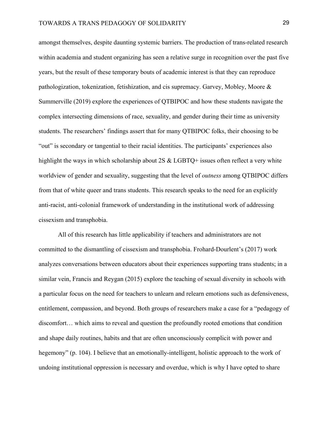amongst themselves, despite daunting systemic barriers. The production of trans-related research within academia and student organizing has seen a relative surge in recognition over the past five years, but the result of these temporary bouts of academic interest is that they can reproduce pathologization, tokenization, fetishization, and cis supremacy. Garvey, Mobley, Moore & Summerville (2019) explore the experiences of QTBIPOC and how these students navigate the complex intersecting dimensions of race, sexuality, and gender during their time as university students. The researchers' findings assert that for many QTBIPOC folks, their choosing to be "out" is secondary or tangential to their racial identities. The participants' experiences also highlight the ways in which scholarship about 2S & LGBTQ+ issues often reflect a very white worldview of gender and sexuality, suggesting that the level of *outness* among QTBIPOC differs from that of white queer and trans students. This research speaks to the need for an explicitly anti-racist, anti-colonial framework of understanding in the institutional work of addressing cissexism and transphobia.

 All of this research has little applicability if teachers and administrators are not committed to the dismantling of cissexism and transphobia. Frohard-Dourlent's (2017) work analyzes conversations between educators about their experiences supporting trans students; in a similar vein, Francis and Reygan (2015) explore the teaching of sexual diversity in schools with a particular focus on the need for teachers to unlearn and relearn emotions such as defensiveness, entitlement, compassion, and beyond. Both groups of researchers make a case for a "pedagogy of discomfort… which aims to reveal and question the profoundly rooted emotions that condition and shape daily routines, habits and that are often unconsciously complicit with power and hegemony" (p. 104). I believe that an emotionally-intelligent, holistic approach to the work of undoing institutional oppression is necessary and overdue, which is why I have opted to share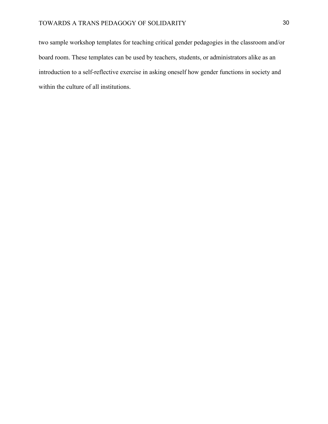two sample workshop templates for teaching critical gender pedagogies in the classroom and/or board room. These templates can be used by teachers, students, or administrators alike as an introduction to a self-reflective exercise in asking oneself how gender functions in society and within the culture of all institutions.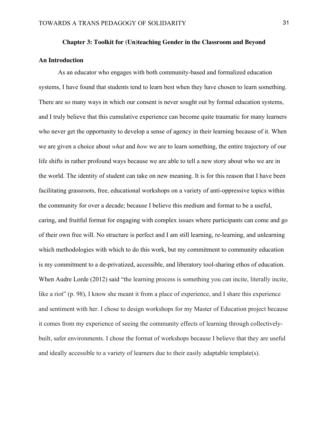#### **Chapter 3: Toolkit for (Un)teaching Gender in the Classroom and Beyond**

#### **An Introduction**

 As an educator who engages with both community-based and formalized education systems, I have found that students tend to learn best when they have chosen to learn something. There are so many ways in which our consent is never sought out by formal education systems, and I truly believe that this cumulative experience can become quite traumatic for many learners who never get the opportunity to develop a sense of agency in their learning because of it. When we are given a choice about *what* and *how* we are to learn something, the entire trajectory of our life shifts in rather profound ways because we are able to tell a new story about who we are in the world. The identity of student can take on new meaning. It is for this reason that I have been facilitating grassroots, free, educational workshops on a variety of anti-oppressive topics within the community for over a decade; because I believe this medium and format to be a useful, caring, and fruitful format for engaging with complex issues where participants can come and go of their own free will. No structure is perfect and I am still learning, re-learning, and unlearning which methodologies with which to do this work, but my commitment to community education is my commitment to a de-privatized, accessible, and liberatory tool-sharing ethos of education. When Audre Lorde (2012) said "the learning process is something you can incite, literally incite, like a riot" (p. 98), I know she meant it from a place of experience, and I share this experience and sentiment with her. I chose to design workshops for my Master of Education project because it comes from my experience of seeing the community effects of learning through collectivelybuilt, safer environments. I chose the format of workshops because I believe that they are useful and ideally accessible to a variety of learners due to their easily adaptable template(s).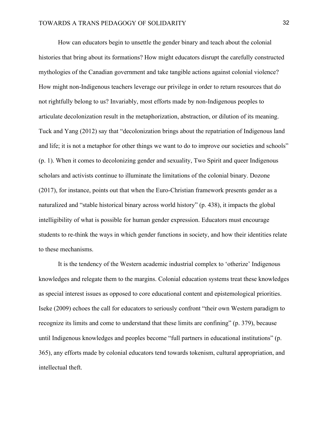How can educators begin to unsettle the gender binary and teach about the colonial histories that bring about its formations? How might educators disrupt the carefully constructed mythologies of the Canadian government and take tangible actions against colonial violence? How might non-Indigenous teachers leverage our privilege in order to return resources that do not rightfully belong to us? Invariably, most efforts made by non-Indigenous peoples to articulate decolonization result in the metaphorization, abstraction, or dilution of its meaning. Tuck and Yang (2012) say that "decolonization brings about the repatriation of Indigenous land and life; it is not a metaphor for other things we want to do to improve our societies and schools" (p. 1). When it comes to decolonizing gender and sexuality, Two Spirit and queer Indigenous scholars and activists continue to illuminate the limitations of the colonial binary. Dozone (2017), for instance, points out that when the Euro-Christian framework presents gender as a naturalized and "stable historical binary across world history" (p. 438), it impacts the global intelligibility of what is possible for human gender expression. Educators must encourage students to re-think the ways in which gender functions in society, and how their identities relate to these mechanisms.

 It is the tendency of the Western academic industrial complex to 'otherize' Indigenous knowledges and relegate them to the margins. Colonial education systems treat these knowledges as special interest issues as opposed to core educational content and epistemological priorities. Iseke (2009) echoes the call for educators to seriously confront "their own Western paradigm to recognize its limits and come to understand that these limits are confining" (p. 379), because until Indigenous knowledges and peoples become "full partners in educational institutions" (p. 365), any efforts made by colonial educators tend towards tokenism, cultural appropriation, and intellectual theft.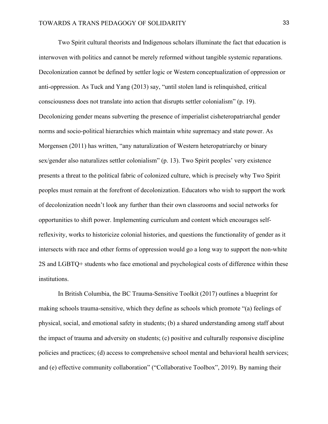Two Spirit cultural theorists and Indigenous scholars illuminate the fact that education is interwoven with politics and cannot be merely reformed without tangible systemic reparations. Decolonization cannot be defined by settler logic or Western conceptualization of oppression or anti-oppression. As Tuck and Yang (2013) say, "until stolen land is relinquished, critical consciousness does not translate into action that disrupts settler colonialism" (p. 19). Decolonizing gender means subverting the presence of imperialist cisheteropatriarchal gender norms and socio-political hierarchies which maintain white supremacy and state power. As Morgensen (2011) has written, "any naturalization of Western heteropatriarchy or binary sex/gender also naturalizes settler colonialism" (p. 13). Two Spirit peoples' very existence presents a threat to the political fabric of colonized culture, which is precisely why Two Spirit peoples must remain at the forefront of decolonization. Educators who wish to support the work of decolonization needn't look any further than their own classrooms and social networks for opportunities to shift power. Implementing curriculum and content which encourages selfreflexivity, works to historicize colonial histories, and questions the functionality of gender as it intersects with race and other forms of oppression would go a long way to support the non-white 2S and LGBTQ+ students who face emotional and psychological costs of difference within these institutions.

In British Columbia, the BC Trauma-Sensitive Toolkit (2017) outlines a blueprint for making schools trauma-sensitive, which they define as schools which promote "(a) feelings of physical, social, and emotional safety in students; (b) a shared understanding among staff about the impact of trauma and adversity on students; (c) positive and culturally responsive discipline policies and practices; (d) access to comprehensive school mental and behavioral health services; and (e) effective community collaboration" ("Collaborative Toolbox", 2019). By naming their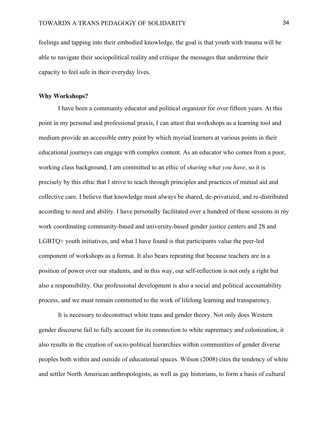feelings and tapping into their embodied knowledge, the goal is that youth with trauma will be able to navigate their sociopolitical reality and critique the messages that undermine their capacity to feel safe in their everyday lives.

#### **Why Workshops?**

I have been a community educator and political organizer for over fifteen years. At this point in my personal and professional praxis, I can attest that workshops as a learning tool and medium provide an accessible entry point by which myriad learners at various points in their educational journeys can engage with complex content. As an educator who comes from a poor, working class background, I am committed to an ethic of *sharing what you have*, so it is precisely by this ethic that I strive to teach through principles and practices of mutual aid and collective care. I believe that knowledge must always be shared, de-privatized, and re-distributed according to need and ability. I have personally facilitated over a hundred of these sessions in my work coordinating community-based and university-based gender justice centers and 2S and LGBTQ+ youth initiatives, and what I have found is that participants value the peer-led component of workshops as a format. It also bears repeating that because teachers are in a position of power over our students, and in this way, our self-reflection is not only a right but also a responsibility. Our professional development is also a social and political accountability process, and we must remain committed to the work of lifelong learning and transparency.

It is necessary to deconstruct white trans and gender theory. Not only does Western gender discourse fail to fully account for its connection to white supremacy and colonization, it also results in the creation of socio-political hierarchies within communities of gender diverse peoples both within and outside of educational spaces. Wilson (2008) cites the tendency of white and settler North American anthropologists, as well as gay historians, to form a basis of cultural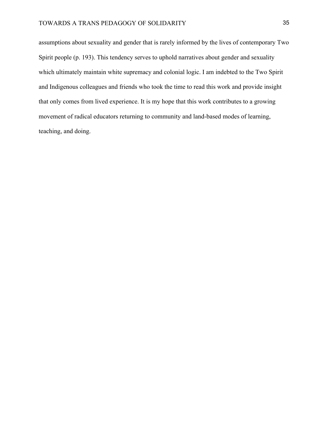assumptions about sexuality and gender that is rarely informed by the lives of contemporary Two Spirit people (p. 193). This tendency serves to uphold narratives about gender and sexuality which ultimately maintain white supremacy and colonial logic. I am indebted to the Two Spirit and Indigenous colleagues and friends who took the time to read this work and provide insight that only comes from lived experience. It is my hope that this work contributes to a growing movement of radical educators returning to community and land-based modes of learning, teaching, and doing.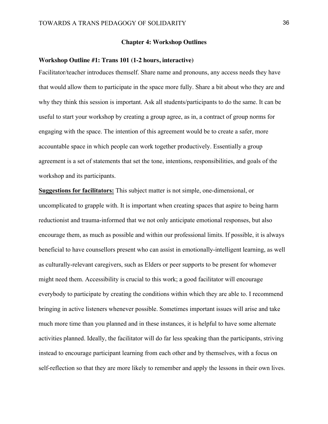#### **Chapter 4: Workshop Outlines**

#### **Workshop Outline #1: Trans 101 (1-2 hours, interactive)**

Facilitator/teacher introduces themself. Share name and pronouns, any access needs they have that would allow them to participate in the space more fully. Share a bit about who they are and why they think this session is important. Ask all students/participants to do the same. It can be useful to start your workshop by creating a group agree, as in, a contract of group norms for engaging with the space. The intention of this agreement would be to create a safer, more accountable space in which people can work together productively. Essentially a group agreement is a set of statements that set the tone, intentions, responsibilities, and goals of the workshop and its participants.

**Suggestions for facilitators:** This subject matter is not simple, one-dimensional, or uncomplicated to grapple with. It is important when creating spaces that aspire to being harm reductionist and trauma-informed that we not only anticipate emotional responses, but also encourage them, as much as possible and within our professional limits. If possible, it is always beneficial to have counsellors present who can assist in emotionally-intelligent learning, as well as culturally-relevant caregivers, such as Elders or peer supports to be present for whomever might need them. Accessibility is crucial to this work; a good facilitator will encourage everybody to participate by creating the conditions within which they are able to. I recommend bringing in active listeners whenever possible. Sometimes important issues will arise and take much more time than you planned and in these instances, it is helpful to have some alternate activities planned. Ideally, the facilitator will do far less speaking than the participants, striving instead to encourage participant learning from each other and by themselves, with a focus on self-reflection so that they are more likely to remember and apply the lessons in their own lives.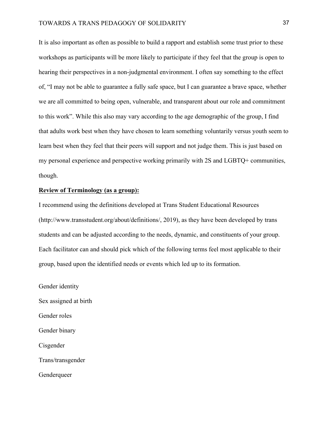It is also important as often as possible to build a rapport and establish some trust prior to these workshops as participants will be more likely to participate if they feel that the group is open to hearing their perspectives in a non-judgmental environment. I often say something to the effect of, "I may not be able to guarantee a fully safe space, but I can guarantee a brave space, whether we are all committed to being open, vulnerable, and transparent about our role and commitment to this work". While this also may vary according to the age demographic of the group, I find that adults work best when they have chosen to learn something voluntarily versus youth seem to learn best when they feel that their peers will support and not judge them. This is just based on my personal experience and perspective working primarily with 2S and LGBTQ+ communities, though.

#### **Review of Terminology (as a group):**

I recommend using the definitions developed at Trans Student Educational Resources (http://www.transstudent.org/about/definitions/, 2019), as they have been developed by trans students and can be adjusted according to the needs, dynamic, and constituents of your group. Each facilitator can and should pick which of the following terms feel most applicable to their group, based upon the identified needs or events which led up to its formation.

Gender identity Sex assigned at birth Gender roles Gender binary Cisgender

Trans/transgender

**Genderqueer**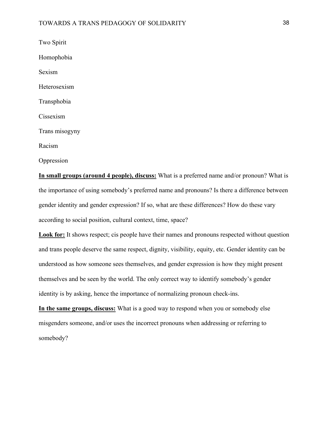Two Spirit Homophobia Sexism Heterosexism Transphobia Cissexism Trans misogyny Racism Oppression

**In small groups (around 4 people), discuss:** What is a preferred name and/or pronoun? What is the importance of using somebody's preferred name and pronouns? Is there a difference between gender identity and gender expression? If so, what are these differences? How do these vary according to social position, cultural context, time, space?

**Look for:** It shows respect; cis people have their names and pronouns respected without question and trans people deserve the same respect, dignity, visibility, equity, etc. Gender identity can be understood as how someone sees themselves, and gender expression is how they might present themselves and be seen by the world. The only correct way to identify somebody's gender identity is by asking, hence the importance of normalizing pronoun check-ins.

**In the same groups, discuss:** What is a good way to respond when you or somebody else misgenders someone, and/or uses the incorrect pronouns when addressing or referring to somebody?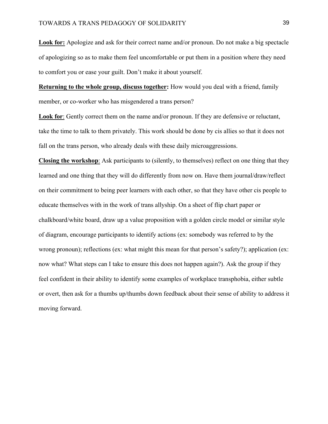**Look for:** Apologize and ask for their correct name and/or pronoun. Do not make a big spectacle of apologizing so as to make them feel uncomfortable or put them in a position where they need to comfort you or ease your guilt. Don't make it about yourself.

**Returning to the whole group, discuss together:** How would you deal with a friend, family member, or co-worker who has misgendered a trans person?

**Look for**: Gently correct them on the name and/or pronoun. If they are defensive or reluctant, take the time to talk to them privately. This work should be done by cis allies so that it does not fall on the trans person, who already deals with these daily microaggressions.

**Closing the workshop**: Ask participants to (silently, to themselves) reflect on one thing that they learned and one thing that they will do differently from now on. Have them journal/draw/reflect on their commitment to being peer learners with each other, so that they have other cis people to educate themselves with in the work of trans allyship. On a sheet of flip chart paper or chalkboard/white board, draw up a value proposition with a golden circle model or similar style of diagram, encourage participants to identify actions (ex: somebody was referred to by the wrong pronoun); reflections (ex: what might this mean for that person's safety?); application (ex: now what? What steps can I take to ensure this does not happen again?). Ask the group if they feel confident in their ability to identify some examples of workplace transphobia, either subtle or overt, then ask for a thumbs up/thumbs down feedback about their sense of ability to address it moving forward.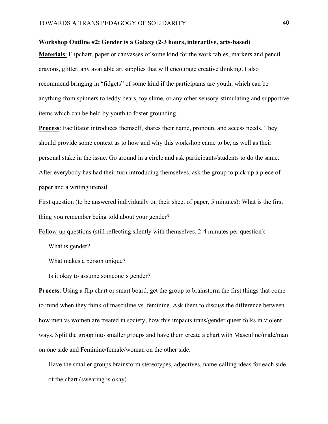#### **Workshop Outline #2: Gender is a Galaxy (2-3 hours, interactive, arts-based)**

**Materials**: Flipchart, paper or canvasses of some kind for the work tables, markers and pencil crayons, glitter, any available art supplies that will encourage creative thinking. I also recommend bringing in "fidgets" of some kind if the participants are youth, which can be anything from spinners to teddy bears, toy slime, or any other sensory-stimulating and supportive items which can be held by youth to foster grounding.

**Process**: Facilitator introduces themself, shares their name, pronoun, and access needs. They should provide some context as to how and why this workshop came to be, as well as their personal stake in the issue. Go around in a circle and ask participants/students to do the same. After everybody has had their turn introducing themselves, ask the group to pick up a piece of paper and a writing utensil.

First question (to be answered individually on their sheet of paper, 5 minutes): What is the first thing you remember being told about your gender?

Follow-up questions (still reflecting silently with themselves, 2-4 minutes per question):

What is gender?

What makes a person unique?

Is it okay to assume someone's gender?

**Process**: Using a flip chart or smart board, get the group to brainstorm the first things that come to mind when they think of masculine vs. feminine. Ask them to discuss the difference between how men vs women are treated in society, how this impacts trans/gender queer folks in violent ways. Split the group into smaller groups and have them create a chart with Masculine/male/man on one side and Feminine/female/woman on the other side.

Have the smaller groups brainstorm stereotypes, adjectives, name-calling ideas for each side of the chart (swearing is okay)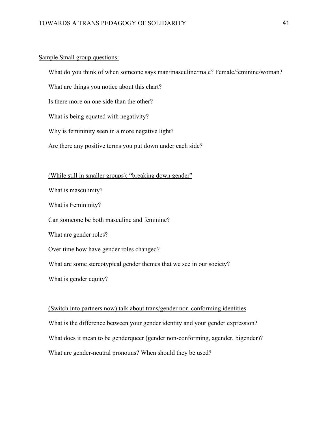#### Sample Small group questions:

What do you think of when someone says man/masculine/male? Female/feminine/woman?

What are things you notice about this chart?

Is there more on one side than the other?

What is being equated with negativity?

Why is femininity seen in a more negative light?

Are there any positive terms you put down under each side?

#### (While still in smaller groups): "breaking down gender"

What is masculinity?

What is Femininity?

Can someone be both masculine and feminine?

What are gender roles?

Over time how have gender roles changed?

What are some stereotypical gender themes that we see in our society?

What is gender equity?

# (Switch into partners now) talk about trans/gender non-conforming identities What is the difference between your gender identity and your gender expression? What does it mean to be genderqueer (gender non-conforming, agender, bigender)? What are gender-neutral pronouns? When should they be used?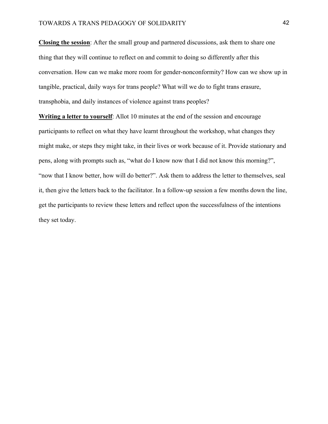**Closing the session**: After the small group and partnered discussions, ask them to share one thing that they will continue to reflect on and commit to doing so differently after this conversation. How can we make more room for gender-nonconformity? How can we show up in tangible, practical, daily ways for trans people? What will we do to fight trans erasure, transphobia, and daily instances of violence against trans peoples?

**Writing a letter to yourself**: Allot 10 minutes at the end of the session and encourage participants to reflect on what they have learnt throughout the workshop, what changes they might make, or steps they might take, in their lives or work because of it. Provide stationary and pens, along with prompts such as, "what do I know now that I did not know this morning?", "now that I know better, how will do better?". Ask them to address the letter to themselves, seal it, then give the letters back to the facilitator. In a follow-up session a few months down the line, get the participants to review these letters and reflect upon the successfulness of the intentions they set today.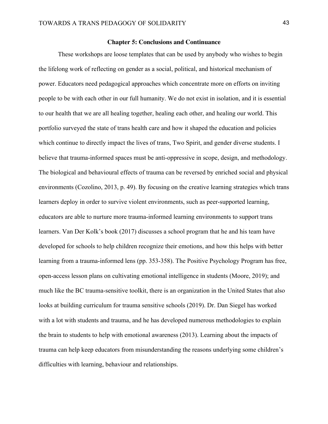#### **Chapter 5: Conclusions and Continuance**

These workshops are loose templates that can be used by anybody who wishes to begin the lifelong work of reflecting on gender as a social, political, and historical mechanism of power. Educators need pedagogical approaches which concentrate more on efforts on inviting people to be with each other in our full humanity. We do not exist in isolation, and it is essential to our health that we are all healing together, healing each other, and healing our world. This portfolio surveyed the state of trans health care and how it shaped the education and policies which continue to directly impact the lives of trans, Two Spirit, and gender diverse students. I believe that trauma-informed spaces must be anti-oppressive in scope, design, and methodology. The biological and behavioural effects of trauma can be reversed by enriched social and physical environments (Cozolino, 2013, p. 49). By focusing on the creative learning strategies which trans learners deploy in order to survive violent environments, such as peer-supported learning, educators are able to nurture more trauma-informed learning environments to support trans learners. Van Der Kolk's book (2017) discusses a school program that he and his team have developed for schools to help children recognize their emotions, and how this helps with better learning from a trauma-informed lens (pp. 353-358). The Positive Psychology Program has free, open-access lesson plans on cultivating emotional intelligence in students (Moore, 2019); and much like the BC trauma-sensitive toolkit, there is an organization in the United States that also looks at building curriculum for trauma sensitive schools (2019). Dr. Dan Siegel has worked with a lot with students and trauma, and he has developed numerous methodologies to explain the brain to students to help with emotional awareness (2013). Learning about the impacts of trauma can help keep educators from misunderstanding the reasons underlying some children's difficulties with learning, behaviour and relationships.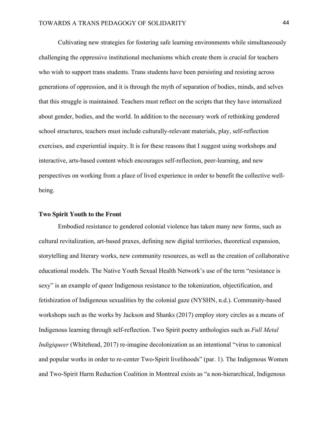Cultivating new strategies for fostering safe learning environments while simultaneously challenging the oppressive institutional mechanisms which create them is crucial for teachers who wish to support trans students. Trans students have been persisting and resisting across generations of oppression, and it is through the myth of separation of bodies, minds, and selves that this struggle is maintained. Teachers must reflect on the scripts that they have internalized about gender, bodies, and the world. In addition to the necessary work of rethinking gendered school structures, teachers must include culturally-relevant materials, play, self-reflection exercises, and experiential inquiry. It is for these reasons that I suggest using workshops and interactive, arts-based content which encourages self-reflection, peer-learning, and new perspectives on working from a place of lived experience in order to benefit the collective wellbeing.

#### **Two Spirit Youth to the Front**

 Embodied resistance to gendered colonial violence has taken many new forms, such as cultural revitalization, art-based praxes, defining new digital territories, theoretical expansion, storytelling and literary works, new community resources, as well as the creation of collaborative educational models. The Native Youth Sexual Health Network's use of the term "resistance is sexy" is an example of queer Indigenous resistance to the tokenization, objectification, and fetishization of Indigenous sexualities by the colonial gaze (NYSHN, n.d.). Community-based workshops such as the works by Jackson and Shanks (2017) employ story circles as a means of Indigenous learning through self-reflection. Two Spirit poetry anthologies such as *Full Metal Indigiqueer* (Whitehead, 2017) re-imagine decolonization as an intentional "virus to canonical and popular works in order to re-center Two-Spirit livelihoods" (par. 1). The Indigenous Women and Two-Spirit Harm Reduction Coalition in Montreal exists as "a non-hierarchical, Indigenous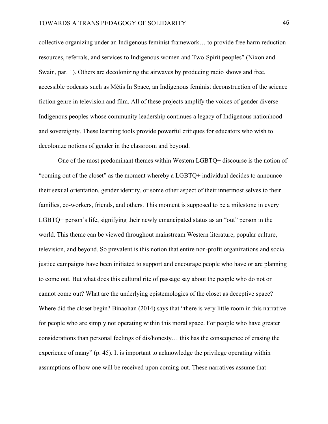collective organizing under an Indigenous feminist framework… to provide free harm reduction resources, referrals, and services to Indigenous women and Two-Spirit peoples" (Nixon and Swain, par. 1). Others are decolonizing the airwaves by producing radio shows and free, accessible podcasts such as Métis In Space, an Indigenous feminist deconstruction of the science fiction genre in television and film. All of these projects amplify the voices of gender diverse Indigenous peoples whose community leadership continues a legacy of Indigenous nationhood and sovereignty. These learning tools provide powerful critiques for educators who wish to decolonize notions of gender in the classroom and beyond.

One of the most predominant themes within Western LGBTQ+ discourse is the notion of "coming out of the closet" as the moment whereby a LGBTQ+ individual decides to announce their sexual orientation, gender identity, or some other aspect of their innermost selves to their families, co-workers, friends, and others. This moment is supposed to be a milestone in every LGBTQ+ person's life, signifying their newly emancipated status as an "out" person in the world. This theme can be viewed throughout mainstream Western literature, popular culture, television, and beyond. So prevalent is this notion that entire non-profit organizations and social justice campaigns have been initiated to support and encourage people who have or are planning to come out. But what does this cultural rite of passage say about the people who do not or cannot come out? What are the underlying epistemologies of the closet as deceptive space? Where did the closet begin? Binaohan (2014) says that "there is very little room in this narrative for people who are simply not operating within this moral space. For people who have greater considerations than personal feelings of dis/honesty… this has the consequence of erasing the experience of many" (p. 45). It is important to acknowledge the privilege operating within assumptions of how one will be received upon coming out. These narratives assume that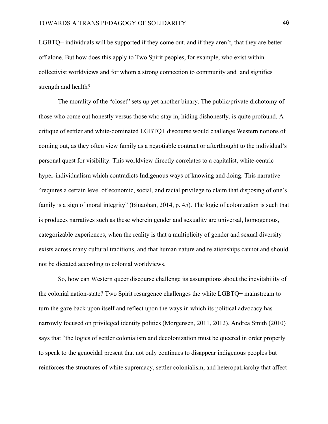LGBTQ+ individuals will be supported if they come out, and if they aren't, that they are better off alone. But how does this apply to Two Spirit peoples, for example, who exist within collectivist worldviews and for whom a strong connection to community and land signifies strength and health?

The morality of the "closet" sets up yet another binary. The public/private dichotomy of those who come out honestly versus those who stay in, hiding dishonestly, is quite profound. A critique of settler and white-dominated LGBTQ+ discourse would challenge Western notions of coming out, as they often view family as a negotiable contract or afterthought to the individual's personal quest for visibility. This worldview directly correlates to a capitalist, white-centric hyper-individualism which contradicts Indigenous ways of knowing and doing. This narrative "requires a certain level of economic, social, and racial privilege to claim that disposing of one's family is a sign of moral integrity" (Binaohan, 2014, p. 45). The logic of colonization is such that is produces narratives such as these wherein gender and sexuality are universal, homogenous, categorizable experiences, when the reality is that a multiplicity of gender and sexual diversity exists across many cultural traditions, and that human nature and relationships cannot and should not be dictated according to colonial worldviews.

So, how can Western queer discourse challenge its assumptions about the inevitability of the colonial nation-state? Two Spirit resurgence challenges the white LGBTQ+ mainstream to turn the gaze back upon itself and reflect upon the ways in which its political advocacy has narrowly focused on privileged identity politics (Morgensen, 2011, 2012). Andrea Smith (2010) says that "the logics of settler colonialism and decolonization must be queered in order properly to speak to the genocidal present that not only continues to disappear indigenous peoples but reinforces the structures of white supremacy, settler colonialism, and heteropatriarchy that affect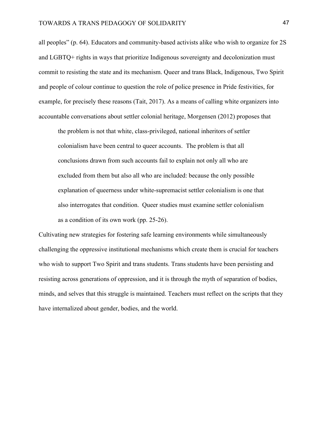all peoples" (p. 64). Educators and community-based activists alike who wish to organize for 2S and LGBTQ+ rights in ways that prioritize Indigenous sovereignty and decolonization must commit to resisting the state and its mechanism. Queer and trans Black, Indigenous, Two Spirit and people of colour continue to question the role of police presence in Pride festivities, for example, for precisely these reasons (Tait, 2017). As a means of calling white organizers into accountable conversations about settler colonial heritage, Morgensen (2012) proposes that

the problem is not that white, class-privileged, national inheritors of settler colonialism have been central to queer accounts. The problem is that all conclusions drawn from such accounts fail to explain not only all who are excluded from them but also all who are included: because the only possible explanation of queerness under white-supremacist settler colonialism is one that also interrogates that condition. Queer studies must examine settler colonialism as a condition of its own work (pp. 25-26).

Cultivating new strategies for fostering safe learning environments while simultaneously challenging the oppressive institutional mechanisms which create them is crucial for teachers who wish to support Two Spirit and trans students. Trans students have been persisting and resisting across generations of oppression, and it is through the myth of separation of bodies, minds, and selves that this struggle is maintained. Teachers must reflect on the scripts that they have internalized about gender, bodies, and the world.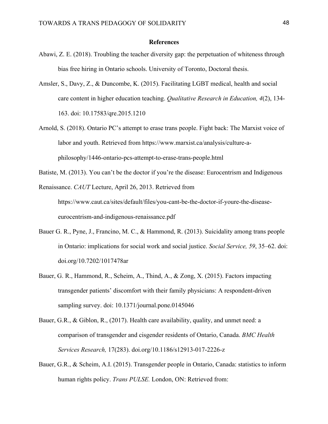#### **References**

- Abawi, Z. E. (2018). Troubling the teacher diversity gap: the perpetuation of whiteness through bias free hiring in Ontario schools. University of Toronto, Doctoral thesis.
- Amsler, S., Davy, Z., & Duncombe, K. (2015). Facilitating LGBT medical, health and social care content in higher education teaching. *Qualitative Research in Education, 4*(2), 134- 163. doi: 10.17583/qre.2015.1210
- Arnold, S. (2018). Ontario PC's attempt to erase trans people. Fight back: The Marxist voice of labor and youth. Retrieved from https://www.marxist.ca/analysis/culture-aphilosophy/1446-ontario-pcs-attempt-to-erase-trans-people.html

Batiste, M. (2013). You can't be the doctor if you're the disease: Eurocentrism and Indigenous

Renaissance. *CAUT* Lecture, April 26, 2013. Retrieved from https://www.caut.ca/sites/default/files/you-cant-be-the-doctor-if-youre-the-diseaseeurocentrism-and-indigenous-renaissance.pdf

- Bauer G. R., Pyne, J., Francino, M. C., & Hammond, R. (2013). Suicidality among trans people in Ontario: implications for social work and social justice. *Social Service, 59*, 35–62. doi: doi.org/10.7202/1017478ar
- Bauer, G. R., Hammond, R., Scheim, A., Thind, A., & Zong, X. (2015). Factors impacting transgender patients' discomfort with their family physicians: A respondent-driven sampling survey. doi: 10.1371/journal.pone.0145046
- Bauer, G.R., & Giblon, R., (2017). Health care availability, quality, and unmet need: a comparison of transgender and cisgender residents of Ontario, Canada. *BMC Health Services Research,* 17(283). doi.org/10.1186/s12913-017-2226-z
- Bauer, G.R., & Scheim, A.I. (2015). Transgender people in Ontario, Canada: statistics to inform human rights policy. *Trans PULSE.* London, ON: Retrieved from: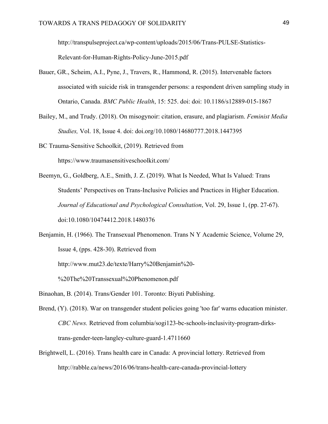http://transpulseproject.ca/wp-content/uploads/2015/06/Trans-PULSE-Statistics-Relevant-for-Human-Rights-Policy-June-2015.pdf

- Bauer, GR., Scheim, A.I., Pyne, J., Travers, R., Hammond, R. (2015). Intervenable factors associated with suicide risk in transgender persons: a respondent driven sampling study in Ontario, Canada. *BMC Public Health*, 15: 525. doi: doi: 10.1186/s12889-015-1867
- Bailey, M., and Trudy. (2018). On misogynoir: citation, erasure, and plagiarism. *Feminist Media Studies,* Vol. 18, Issue 4. doi: doi.org/10.1080/14680777.2018.1447395

BC Trauma-Sensitive Schoolkit, (2019). Retrieved from https://www.traumasensitiveschoolkit.com/

- Beemyn, G., Goldberg, A.E., Smith, J. Z. (2019). What Is Needed, What Is Valued: Trans Students' Perspectives on Trans-Inclusive Policies and Practices in Higher Education. *Journal of Educational and Psychological Consultation*, Vol. 29, Issue 1, (pp. 27-67). doi:10.1080/10474412.2018.1480376
- Benjamin, H. (1966). The Transexual Phenomenon. Trans N Y Academic Science, Volume 29, Issue 4, (pps. 428-30). Retrieved from http://www.mut23.de/texte/Harry%20Benjamin%20-

%20The%20Transsexual%20Phenomenon.pdf

- Binaohan, B. (2014). Trans/Gender 101. Toronto: Biyuti Publishing.
- Brend, (Y). (2018). War on transgender student policies going 'too far' warns education minister. *CBC News.* Retrieved from columbia/sogi123-bc-schools-inclusivity-program-dirkstrans-gender-teen-langley-culture-guard-1.4711660
- Brightwell, L. (2016). Trans health care in Canada: A provincial lottery. Retrieved from http://rabble.ca/news/2016/06/trans-health-care-canada-provincial-lottery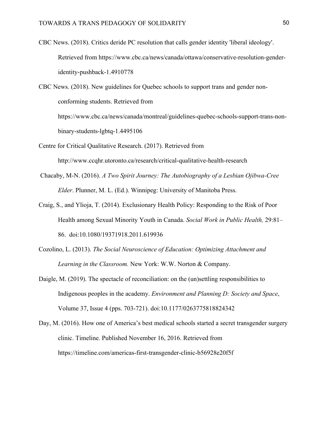CBC News. (2018). Critics deride PC resolution that calls gender identity 'liberal ideology'. Retrieved from https://www.cbc.ca/news/canada/ottawa/conservative-resolution-genderidentity-pushback-1.4910778

CBC News. (2018). New guidelines for Quebec schools to support trans and gender nonconforming students. Retrieved from https://www.cbc.ca/news/canada/montreal/guidelines-quebec-schools-support-trans-nonbinary-students-lgbtq-1.4495106

- Centre for Critical Qualitative Research. (2017). Retrieved from http://www.ccqhr.utoronto.ca/research/critical-qualitative-health-research
- Chacaby, M-N. (2016). *A Two Spirit Journey: The Autobiography of a Lesbian Ojibwa-Cree Elder*. Plunner, M. L. (Ed.). Winnipeg: University of Manitoba Press.
- Craig, S., and Ylioja, T. (2014). Exclusionary Health Policy: Responding to the Risk of Poor Health among Sexual Minority Youth in Canada. *Social Work in Public Health,* 29:81– 86. doi:10.1080/19371918.2011.619936
- Cozolino, L. (2013). *The Social Neuroscience of Education: Optimizing Attachment and Learning in the Classroom.* New York: W.W. Norton & Company.
- Daigle, M. (2019). The spectacle of reconciliation: on the (un)settling responsibilities to Indigenous peoples in the academy. *Environment and Planning D: Society and Space*, Volume 37, Issue 4 (pps. 703-721). doi:10.1177/0263775818824342
- Day, M. (2016). How one of America's best medical schools started a secret transgender surgery clinic. Timeline. Published November 16, 2016. Retrieved from https://timeline.com/americas-first-transgender-clinic-b56928e20f5f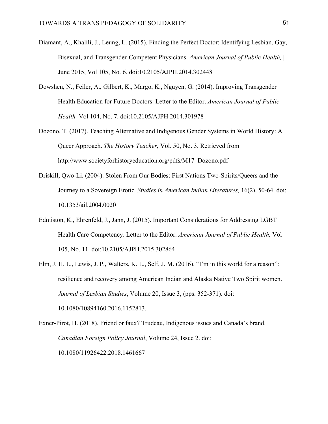- Diamant, A., Khalili, J., Leung, L. (2015). Finding the Perfect Doctor: Identifying Lesbian, Gay, Bisexual, and Transgender-Competent Physicians. *American Journal of Public Health,* | June 2015, Vol 105, No. 6. doi:10.2105/AJPH.2014.302448
- Dowshen, N., Feiler, A., Gilbert, K., Margo, K., Nguyen, G. (2014). Improving Transgender Health Education for Future Doctors. Letter to the Editor. *American Journal of Public Health,* Vol 104, No. 7. doi:10.2105/AJPH.2014.301978
- Dozono, T. (2017). Teaching Alternative and Indigenous Gender Systems in World History: A Queer Approach. *The History Teacher,* Vol. 50, No. 3. Retrieved from http://www.societyforhistoryeducation.org/pdfs/M17\_Dozono.pdf
- Driskill, Qwo-Li. (2004). Stolen From Our Bodies: First Nations Two-Spirits/Queers and the Journey to a Sovereign Erotic. *Studies in American Indian Literatures,* 16(2), 50-64. doi: 10.1353/ail.2004.0020
- Edmiston, K., Ehrenfeld, J., Jann, J. (2015). Important Considerations for Addressing LGBT Health Care Competency. Letter to the Editor. *American Journal of Public Health,* Vol 105, No. 11. doi:10.2105/AJPH.2015.302864
- Elm, J. H. L., Lewis, J. P., Walters, K. L., Self, J. M. (2016). "I'm in this world for a reason": resilience and recovery among American Indian and Alaska Native Two Spirit women. *Journal of Lesbian Studies*, Volume 20, Issue 3, (pps. 352-371). doi: 10.1080/10894160.2016.1152813.

Exner-Pirot, H. (2018). Friend or faux? Trudeau, Indigenous issues and Canada's brand. *Canadian Foreign Policy Journal*, Volume 24, Issue 2. doi: 10.1080/11926422.2018.1461667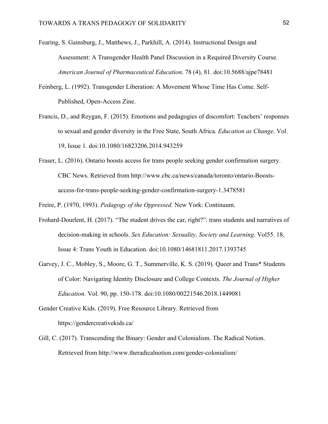- Fearing, S. Gainsburg, J., Matthews, J., Parkhill, A. (2014). Instructional Design and Assessment: A Transgender Health Panel Discussion in a Required Diversity Course. *American Journal of Pharmaceutical Education,* 78 (4), 81. doi:10.5688/ajpe78481
- Feinberg, L. (1992). Transgender Liberation: A Movement Whose Time Has Come. Self-Published, Open-Access Zine.
- Francis, D., and Reygan, F. (2015). Emotions and pedagogies of discomfort: Teachers' responses to sexual and gender diversity in the Free State, South Africa. *Education as Change,* Vol. 19, Issue 1. doi:10.1080/16823206.2014.943259
- Fraser, L. (2016). Ontario boosts access for trans people seeking gender confirmation surgery. CBC News. Retrieved from http://www.cbc.ca/news/canada/toronto/ontario-Boostsaccess-for-trans-people-seeking-gender-confirmation-surgery-1.3478581

Freire, P. (1970, 1993). *Pedagogy of the Oppressed.* New York: Continuum.

- Frohard-Dourlent, H. (2017). "The student drives the car, right?": trans students and narratives of decision-making in schools. *Sex Education: Sexuality, Society and Learning*. Vol55. 18, Issue 4: Trans Youth in Education. doi:10.1080/14681811.2017.1393745
- Garvey, J. C., Mobley, S., Moore, G. T., Summerville, K. S. (2019). Queer and Trans\* Students of Color: Navigating Identity Disclosure and College Contexts. *The Journal of Higher Education.* Vol. 90, pp. 150-178. doi:10.1080/00221546.2018.1449081
- Gender Creative Kids. (2019). Free Resource Library. Retrieved from https://gendercreativekids.ca/
- Gill, C. (2017). Transcending the Binary: Gender and Colonialism. The Radical Notion. Retrieved from http://www.theradicalnotion.com/gender-colonialism/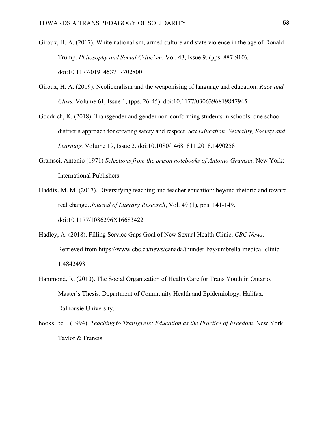- Giroux, H. A. (2017). White nationalism, armed culture and state violence in the age of Donald Trump. *Philosophy and Social Criticism*, Vol. 43, Issue 9, (pps. 887-910). doi:10.1177/0191453717702800
- Giroux, H. A. (2019). Neoliberalism and the weaponising of language and education. *Race and Class,* Volume 61, Issue 1, (pps. 26-45). doi:10.1177/0306396819847945
- Goodrich, K. (2018). Transgender and gender non-conforming students in schools: one school district's approach for creating safety and respect. *Sex Education: Sexuality, Society and Learning.* Volume 19, Issue 2. doi:10.1080/14681811.2018.1490258
- Gramsci, Antonio (1971) *Selections from the prison notebooks of Antonio Gramsci*. New York: International Publishers.
- Haddix, M. M. (2017). Diversifying teaching and teacher education: beyond rhetoric and toward real change. *Journal of Literary Research*, Vol. 49 (1), pps. 141-149. doi:10.1177/1086296X16683422
- Hadley, A. (2018). Filling Service Gaps Goal of New Sexual Health Clinic. *CBC News.* Retrieved from https://www.cbc.ca/news/canada/thunder-bay/umbrella-medical-clinic-1.4842498
- Hammond, R. (2010). The Social Organization of Health Care for Trans Youth in Ontario. Master's Thesis. Department of Community Health and Epidemiology. Halifax: Dalhousie University.
- hooks, bell. (1994). *Teaching to Transgress: Education as the Practice of Freedom*. New York: Taylor & Francis.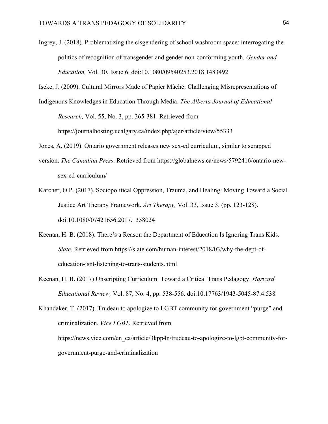Ingrey, J. (2018). Problematizing the cisgendering of school washroom space: interrogating the politics of recognition of transgender and gender non-conforming youth. *Gender and Education,* Vol. 30, Issue 6. doi:10.1080/09540253.2018.1483492

Iseke, J. (2009). Cultural Mirrors Made of Papier Mâché: Challenging Misrepresentations of

Indigenous Knowledges in Education Through Media. *The Alberta Journal of Educational* 

*Research,* Vol. 55, No. 3, pp. 365-381. Retrieved from

https://journalhosting.ucalgary.ca/index.php/ajer/article/view/55333

- Jones, A. (2019). Ontario government releases new sex-ed curriculum, similar to scrapped
- version. *The Canadian Press*. Retrieved from https://globalnews.ca/news/5792416/ontario-newsex-ed-curriculum/
- Karcher, O.P. (2017). Sociopolitical Oppression, Trauma, and Healing: Moving Toward a Social Justice Art Therapy Framework. *Art Therapy,* Vol. 33, Issue 3. (pp. 123-128). doi:10.1080/07421656.2017.1358024
- Keenan, H. B. (2018). There's a Reason the Department of Education Is Ignoring Trans Kids. *Slate*. Retrieved from https://slate.com/human-interest/2018/03/why-the-dept-ofeducation-isnt-listening-to-trans-students.html
- Keenan, H. B. (2017) Unscripting Curriculum: Toward a Critical Trans Pedagogy. *Harvard Educational Review,* Vol. 87, No. 4, pp. 538-556. doi:10.17763/1943-5045-87.4.538

Khandaker, T. (2017). Trudeau to apologize to LGBT community for government "purge" and criminalization. *Vice LGBT*. Retrieved from https://news.vice.com/en\_ca/article/3kpp4n/trudeau-to-apologize-to-lgbt-community-forgovernment-purge-and-criminalization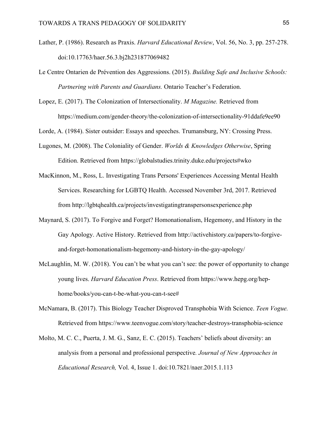- Lather, P. (1986). Research as Praxis. *Harvard Educational Review*, Vol. 56, No. 3, pp. 257-278. doi:10.17763/haer.56.3.bj2h231877069482
- Le Centre Ontarien de Prévention des Aggressions. (2015). *Building Safe and Inclusive Schools: Partnering with Parents and Guardians.* Ontario Teacher's Federation.
- Lopez, E. (2017). The Colonization of Intersectionality. *M Magazine.* Retrieved from https://medium.com/gender-theory/the-colonization-of-intersectionality-91ddafe9ee90

Lorde, A. (1984). Sister outsider: Essays and speeches. Trumansburg, NY: Crossing Press.

- Lugones, M. (2008). The Coloniality of Gender. *Worlds & Knowledges Otherwise*, Spring Edition. Retrieved from https://globalstudies.trinity.duke.edu/projects#wko
- MacKinnon, M., Ross, L. Investigating Trans Persons' Experiences Accessing Mental Health Services. Researching for LGBTQ Health. Accessed November 3rd, 2017. Retrieved from http://lgbtqhealth.ca/projects/investigatingtranspersonsexperience.php
- Maynard, S. (2017). To Forgive and Forget? Homonationalism, Hegemony, and History in the Gay Apology. Active History. Retrieved from http://activehistory.ca/papers/to-forgiveand-forget-homonationalism-hegemony-and-history-in-the-gay-apology/
- McLaughlin, M. W. (2018). You can't be what you can't see: the power of opportunity to change young lives. *Harvard Education Press*. Retrieved from https://www.hepg.org/hephome/books/you-can-t-be-what-you-can-t-see#
- McNamara, B. (2017). This Biology Teacher Disproved Transphobia With Science. *Teen Vogue.* Retrieved from https://www.teenvogue.com/story/teacher-destroys-transphobia-science
- Molto, M. C. C., Puerta, J. M. G., Sanz, E. C. (2015). Teachers' beliefs about diversity: an analysis from a personal and professional perspective*. Journal of New Approaches in Educational Research,* Vol. 4, Issue 1. doi:10.7821/naer.2015.1.113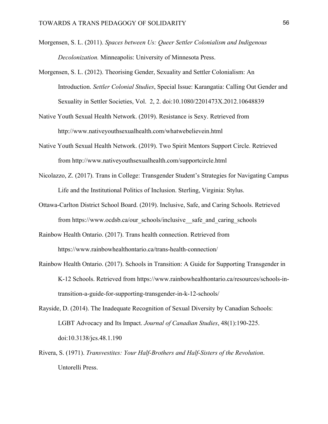- Morgensen, S. L. (2011). *Spaces between Us: Queer Settler Colonialism and Indigenous Decolonization.* Minneapolis: University of Minnesota Press.
- Morgensen, S. L. (2012). Theorising Gender, Sexuality and Settler Colonialism: An Introduction. *Settler Colonial Studies*, Special Issue: Karangatia: Calling Out Gender and Sexuality in Settler Societies, Vol. 2, 2. doi:10.1080/2201473X.2012.10648839
- Native Youth Sexual Health Network. (2019). Resistance is Sexy. Retrieved from http://www.nativeyouthsexualhealth.com/whatwebelievein.html
- Native Youth Sexual Health Network. (2019). Two Spirit Mentors Support Circle. Retrieved from http://www.nativeyouthsexualhealth.com/supportcircle.html
- Nicolazzo, Z. (2017). Trans in College: Transgender Student's Strategies for Navigating Campus Life and the Institutional Politics of Inclusion. Sterling, Virginia: Stylus.
- Ottawa-Carlton District School Board. (2019). Inclusive, Safe, and Caring Schools. Retrieved from https://www.ocdsb.ca/our\_schools/inclusive\_\_safe\_and\_caring\_schools
- Rainbow Health Ontario. (2017). Trans health connection. Retrieved from https://www.rainbowhealthontario.ca/trans-health-connection/
- Rainbow Health Ontario. (2017). Schools in Transition: A Guide for Supporting Transgender in K-12 Schools. Retrieved from https://www.rainbowhealthontario.ca/resources/schools-intransition-a-guide-for-supporting-transgender-in-k-12-schools/
- Rayside, D. (2014). The Inadequate Recognition of Sexual Diversity by Canadian Schools: LGBT Advocacy and Its Impact. *Journal of Canadian Studies*, 48(1):190-225. doi:10.3138/jcs.48.1.190
- Rivera, S. (1971). *Transvestites: Your Half-Brothers and Half-Sisters of the Revolution*. Untorelli Press.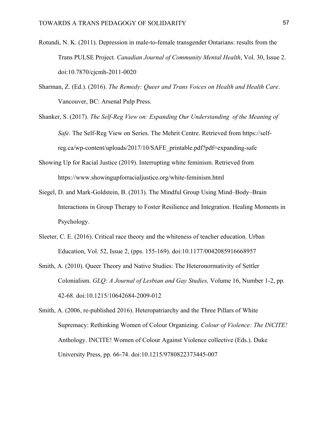- Rotundi, N. K. (2011). Depression in male-to-female transgender Ontarians: results from the Trans PULSE Project*. Canadian Journal of Community Mental Health*, Vol. 30, Issue 2. doi:10.7870/cjcmh-2011-0020
- Sharman, Z. (Ed.). (2016). *The Remedy: Queer and Trans Voices on Health and Health Care*. Vancouver, BC: Arsenal Pulp Press.
- Shanker, S. (2017). *The Self-Reg View on: Expanding Our Understanding of the Meaning of Safe.* The Self-Reg View on Series. The Mehrit Centre. Retrieved from https://selfreg.ca/wp-content/uploads/2017/10/SAFE\_printable.pdf?pdf=expanding-safe
- Showing Up for Racial Justice (2019). Interrupting white feminism. Retrieved from https://www.showingupforracialjustice.org/white-feminism.html
- Siegel, D. and Mark-Goldstein, B. (2013). The Mindful Group Using Mind–Body–Brain Interactions in Group Therapy to Foster Resilience and Integration. Healing Moments in Psychology.
- Sleeter, C. E. (2016). Critical race theory and the whiteness of teacher education. Urban Education, Vol. 52, Issue 2, (pps. 155-169). doi:10.1177/0042085916668957
- Smith, A. (2010). Queer Theory and Native Studies: The Heteronormativity of Settler Colonialism. *GLQ: A Journal of Lesbian and Gay Studies,* Volume 16, Number 1-2, pp. 42-68. doi:10.1215/10642684-2009-012
- Smith, A. (2006, re-published 2016). Heteropatriarchy and the Three Pillars of White Supremacy: Rethinking Women of Colour Organizing. *Colour of Violence: The INCITE!*  Anthology. INCITE! Women of Colour Against Violence collective (Eds.). Duke University Press, pp. 66-74. doi:10.1215/9780822373445-007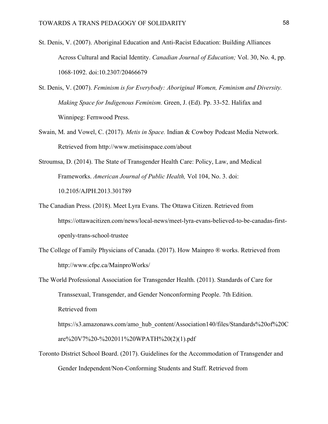- St. Denis, V. (2007). Aboriginal Education and Anti-Racist Education: Building Alliances Across Cultural and Racial Identity. *Canadian Journal of Education;* Vol. 30, No. 4, pp. 1068-1092. doi:10.2307/20466679
- St. Denis, V. (2007). *Feminism is for Everybody: Aboriginal Women, Feminism and Diversity. Making Space for Indigenous Feminism.* Green, J. (Ed). Pp. 33-52. Halifax and Winnipeg: Fernwood Press.
- Swain, M. and Vowel, C. (2017). *Metis in Space.* Indian & Cowboy Podcast Media Network. Retrieved from http://www.metisinspace.com/about
- Stroumsa, D. (2014). The State of Transgender Health Care: Policy, Law, and Medical Frameworks. *American Journal of Public Health,* Vol 104, No. 3. doi: 10.2105/AJPH.2013.301789
- The Canadian Press. (2018). Meet Lyra Evans. The Ottawa Citizen. Retrieved from https://ottawacitizen.com/news/local-news/meet-lyra-evans-believed-to-be-canadas-firstopenly-trans-school-trustee
- The College of Family Physicians of Canada. (2017). How Mainpro ® works. Retrieved from http://www.cfpc.ca/MainproWorks/
- The World Professional Association for Transgender Health. (2011). Standards of Care for Transsexual, Transgender, and Gender Nonconforming People. 7th Edition. Retrieved from https://s3.amazonaws.com/amo\_hub\_content/Association140/files/Standards%20of%20C are%20V7%20-%202011%20WPATH%20(2)(1).pdf
- Toronto District School Board. (2017). Guidelines for the Accommodation of Transgender and Gender Independent/Non-Conforming Students and Staff. Retrieved from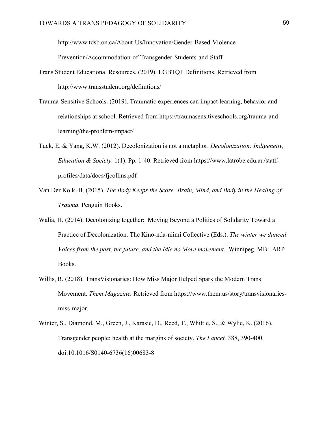http://www.tdsb.on.ca/About-Us/Innovation/Gender-Based-Violence-

Prevention/Accommodation-of-Transgender-Students-and-Staff

- Trans Student Educational Resources. (2019). LGBTQ+ Definitions. Retrieved from http://www.transstudent.org/definitions/
- Trauma-Sensitive Schools. (2019). Traumatic experiences can impact learning, behavior and relationships at school. Retrieved from https://traumasensitiveschools.org/trauma-andlearning/the-problem-impact/
- Tuck, E. & Yang, K.W. (2012). Decolonization is not a metaphor. *Decolonization: Indigeneity, Education & Society*. 1(1). Pp. 1-40. Retrieved from https://www.latrobe.edu.au/staffprofiles/data/docs/fjcollins.pdf
- Van Der Kolk, B. (2015). *The Body Keeps the Score: Brain, Mind, and Body in the Healing of Trauma.* Penguin Books.
- Walia, H. (2014). Decolonizing together: Moving Beyond a Politics of Solidarity Toward a Practice of Decolonization. The Kino-nda-niimi Collective (Eds.). *The winter we danced: Voices from the past, the future, and the Idle no More movement.* Winnipeg, MB: ARP Books.
- Willis, R. (2018). TransVisionaries: How Miss Major Helped Spark the Modern Trans Movement. *Them Magazine.* Retrieved from https://www.them.us/story/transvisionariesmiss-major.
- Winter, S., Diamond, M., Green, J., Karasic, D., Reed, T., Whittle, S., & Wylie, K. (2016). Transgender people: health at the margins of society. *The Lancet,* 388, 390-400. doi:10.1016/S0140-6736(16)00683-8